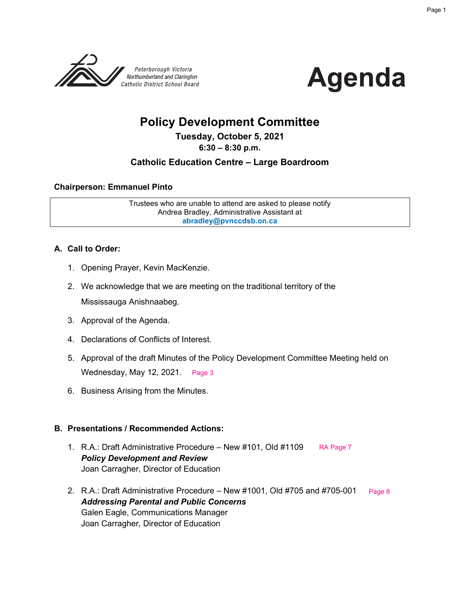



# **Policy Development Committee**

### **Tuesday, October 5, 2021**

**6:30 – 8:30 p.m.**

### **Catholic Education Centre – Large Boardroom**

### **Chairperson: Emmanuel Pinto**

Trustees who are unable to attend are asked to please notify Andrea Bradley, Administrative Assistant at **abradley@pvnccdsb.on.ca**

### **A. Call to Order:**

- 1. Opening Prayer, Kevin MacKenzie.
- 2. We acknowledge that we are meeting on the traditional territory of the Mississauga Anishnaabeg.
- 3. Approval of the Agenda.
- 4. Declarations of Conflicts of Interest.
- 5. Approval of the draft Minutes of the Policy Development Committee Meeting held on Wednesday, May 12, 2021. [Page 3](#page-2-0)
- 6. Business Arising from the Minutes.

### **B. Presentations / Recommended Actions:**

- 1. R.A.: Draft Administrative Procedure New #101, Old #1109 *Policy Development and Review* Joan Carragher, Director of Education [RA Page 7](#page-6-0)
- 2. R.A.: Draft Administrative Procedure New #1001, Old #705 and #705-001 *Addressing Parental and Public Concerns* Galen Eagle, Communications Manager Joan Carragher, Director of Education [Page 8](#page-7-0)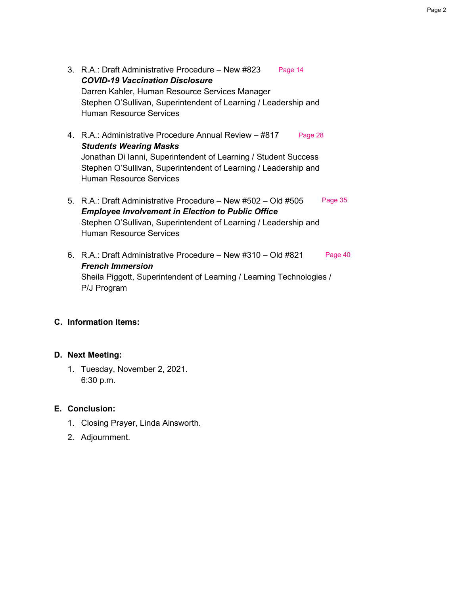- 3. R.A.: Draft Administrative Procedure New #823 *COVID-19 Vaccination Disclosure* Darren Kahler, Human Resource Services Manager Stephen O'Sullivan, Superintendent of Learning / Leadership and Human Resource Services [Page 14](#page-13-0)
- 4. R.A.: Administrative Procedure Annual Review #817 *Students Wearing Masks* Jonathan Di Ianni, Superintendent of Learning / Student Success Stephen O'Sullivan, Superintendent of Learning / Leadership and Human Resource Services [Page 28](#page-27-0)
- 5. R.A.: Draft Administrative Procedure New #502 Old #505 *Employee Involvement in Election to Public Office* Stephen O'Sullivan, Superintendent of Learning / Leadership and Human Resource Services [Page 35](#page-34-0)
- 6. R.A.: Draft Administrative Procedure New #310 Old #821 *French Immersion* Sheila Piggott, Superintendent of Learning / Learning Technologies / P/J Program [Page 40](#page-39-0)

### **C. Information Items:**

### **D. Next Meeting:**

1. Tuesday, November 2, 2021. 6:30 p.m.

### **E. Conclusion:**

- 1. Closing Prayer, Linda Ainsworth.
- 2. Adjournment.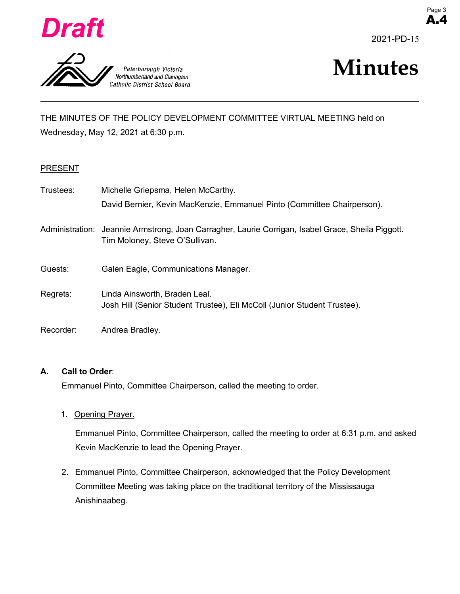<span id="page-2-0"></span>

Peterborough Victoria Northumberland and Clarington Catholic District School Board



A.4



THE MINUTES OF THE POLICY DEVELOPMENT COMMITTEE VIRTUAL MEETING held on Wednesday, May 12, 2021 at 6:30 p.m.

### PRESENT

| Trustees: | Michelle Griepsma, Helen McCarthy.                                                                                                  |
|-----------|-------------------------------------------------------------------------------------------------------------------------------------|
|           | David Bernier, Kevin MacKenzie, Emmanuel Pinto (Committee Chairperson).                                                             |
|           | Administration: Jeannie Armstrong, Joan Carragher, Laurie Corrigan, Isabel Grace, Sheila Piggott.<br>Tim Moloney, Steve O'Sullivan. |
| Guests:   | Galen Eagle, Communications Manager.                                                                                                |
| Regrets:  | Linda Ainsworth, Braden Leal.<br>Josh Hill (Senior Student Trustee), Eli McColl (Junior Student Trustee).                           |
| Recorder: | Andrea Bradley.                                                                                                                     |

### **A. Call to Order**:

Emmanuel Pinto, Committee Chairperson, called the meeting to order.

1. Opening Prayer.

Emmanuel Pinto, Committee Chairperson, called the meeting to order at 6:31 p.m. and asked Kevin MacKenzie to lead the Opening Prayer.

2. Emmanuel Pinto, Committee Chairperson, acknowledged that the Policy Development Committee Meeting was taking place on the traditional territory of the Mississauga Anishinaabeg.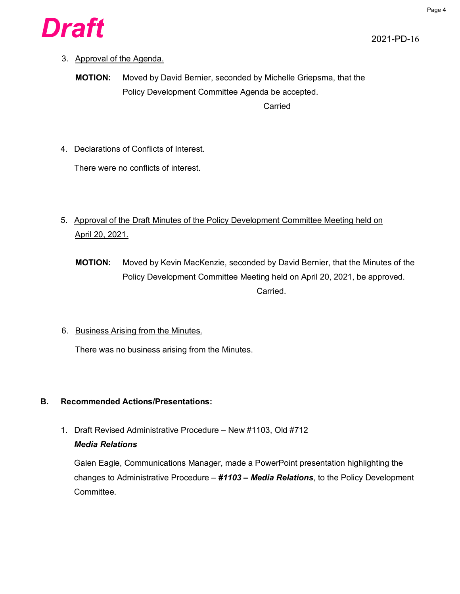

### 3. Approval of the Agenda.

**MOTION:** Moved by David Bernier, seconded by Michelle Griepsma, that the Policy Development Committee Agenda be accepted. Carried

4. Declarations of Conflicts of Interest.

There were no conflicts of interest.

- 5. Approval of the Draft Minutes of the Policy Development Committee Meeting held on April 20, 2021.
	- **MOTION:** Moved by Kevin MacKenzie, seconded by David Bernier, that the Minutes of the Policy Development Committee Meeting held on April 20, 2021, be approved. Carried.
- 6. Business Arising from the Minutes.

There was no business arising from the Minutes.

### **B. Recommended Actions/Presentations:**

1. Draft Revised Administrative Procedure – New #1103, Old #712 *Media Relations*

Galen Eagle, Communications Manager, made a PowerPoint presentation highlighting the changes to Administrative Procedure – *#1103 – Media Relations*, to the Policy Development Committee.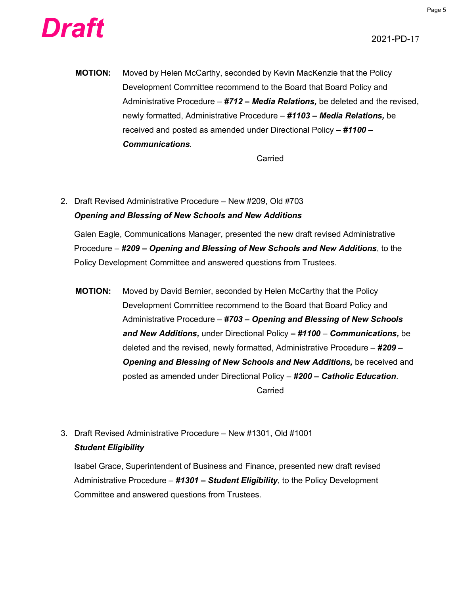



**MOTION:** Moved by Helen McCarthy, seconded by Kevin MacKenzie that the Policy Development Committee recommend to the Board that Board Policy and Administrative Procedure – *#712 – Media Relations,* be deleted and the revised, newly formatted, Administrative Procedure – *#1103 – Media Relations,* be received and posted as amended under Directional Policy – *#1100 – Communications*.

Carried

2. Draft Revised Administrative Procedure – New #209, Old #703 *Opening and Blessing of New Schools and New Additions*

Galen Eagle, Communications Manager, presented the new draft revised Administrative Procedure – *#209 – Opening and Blessing of New Schools and New Additions*, to the Policy Development Committee and answered questions from Trustees.

- **MOTION:** Moved by David Bernier, seconded by Helen McCarthy that the Policy Development Committee recommend to the Board that Board Policy and Administrative Procedure – *#703 – Opening and Blessing of New Schools and New Additions,* under Directional Policy *– #1100 – Communications,* be deleted and the revised, newly formatted, Administrative Procedure – *#209 – Opening and Blessing of New Schools and New Additions,* be received and posted as amended under Directional Policy – *#200 – Catholic Education*. Carried
- 3. Draft Revised Administrative Procedure New #1301, Old #1001 *Student Eligibility*

Isabel Grace, Superintendent of Business and Finance, presented new draft revised Administrative Procedure – *#1301 – Student Eligibility*, to the Policy Development Committee and answered questions from Trustees.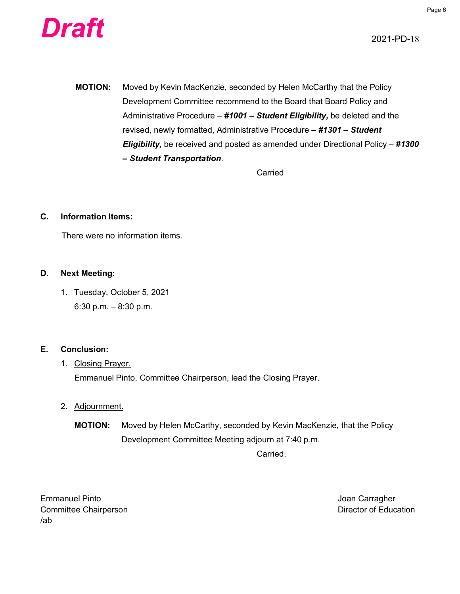

**MOTION:** Moved by Kevin MacKenzie, seconded by Helen McCarthy that the Policy Development Committee recommend to the Board that Board Policy and Administrative Procedure – *#1001 – Student Eligibility,* be deleted and the revised, newly formatted, Administrative Procedure – *#1301 – Student Eligibility,* be received and posted as amended under Directional Policy – *#1300 – Student Transportation*.

Carried

### **C. Information Items:**

There were no information items.

### **D. Next Meeting:**

1. Tuesday, October 5, 2021 6:30 p.m. – 8:30 p.m.

### **E. Conclusion:**

### 1. Closing Prayer.

Emmanuel Pinto, Committee Chairperson, lead the Closing Prayer.

### 2. Adjournment.

**MOTION:** Moved by Helen McCarthy, seconded by Kevin MacKenzie, that the Policy Development Committee Meeting adjourn at 7:40 p.m.

Carried.

Emmanuel Pinto **Carragher** Contract Contract Contract Contract Contract Contract Contract Contract Contract Contract Contract Contract Contract Contract Contract Contract Contract Contract Contract Contract Contract Contra Committee Chairperson **Committee Chairperson** /ab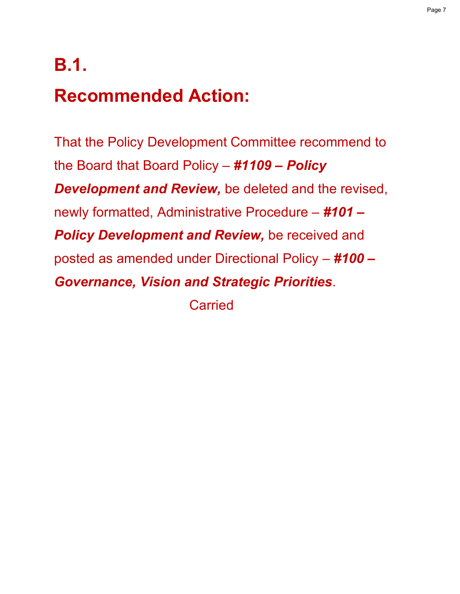# <span id="page-6-0"></span>**B.1.**

# **Recommended Action:**

That the Policy Development Committee recommend to the Board that Board Policy – *#1109 – Policy Development and Review,* be deleted and the revised, newly formatted, Administrative Procedure – *#101 – Policy Development and Review,* be received and posted as amended under Directional Policy – *#100 – Governance, Vision and Strategic Priorities*.

**Carried**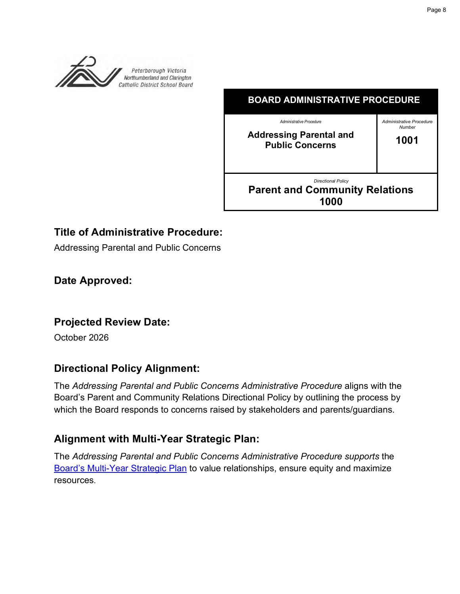<span id="page-7-0"></span>

| <b>BOARD ADMINISTRATIVE PROCEDURE</b>                                                |                                            |  |  |  |
|--------------------------------------------------------------------------------------|--------------------------------------------|--|--|--|
| Administrative Procedure<br><b>Addressing Parental and</b><br><b>Public Concerns</b> | Administrative Procedure<br>Number<br>1001 |  |  |  |
| <b>Directional Policy</b><br><b>Parent and Community Relations</b><br>1000           |                                            |  |  |  |

# **Title of Administrative Procedure:**

Addressing Parental and Public Concerns

# **Date Approved:**

### **Projected Review Date:**

October 2026

# **Directional Policy Alignment:**

The *Addressing Parental and Public Concerns Administrative Procedure* aligns with the Board's Parent and Community Relations Directional Policy by outlining the process by which the Board responds to concerns raised by stakeholders and parents/guardians.

# **Alignment with Multi-Year Strategic Plan:**

The *Addressing Parental and Public Concerns Administrative Procedure supports* the Board's Multi-Year Strategic Plan to value relationships, ensure equity and maximize resources.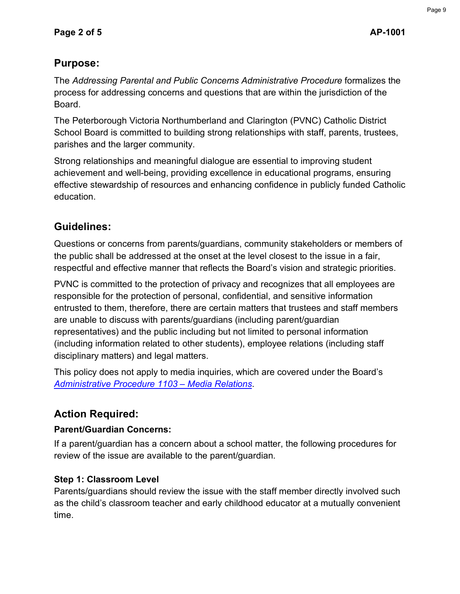# **Purpose:**

The *Addressing Parental and Public Concerns Administrative Procedure* formalizes the process for addressing concerns and questions that are within the jurisdiction of the Board.

The Peterborough Victoria Northumberland and Clarington (PVNC) Catholic District School Board is committed to building strong relationships with staff, parents, trustees, parishes and the larger community.

Strong relationships and meaningful dialogue are essential to improving student achievement and well-being, providing excellence in educational programs, ensuring effective stewardship of resources and enhancing confidence in publicly funded Catholic education.

# **Guidelines:**

Questions or concerns from parents/guardians, community stakeholders or members of the public shall be addressed at the onset at the level closest to the issue in a fair, respectful and effective manner that reflects the Board's vision and strategic priorities.

PVNC is committed to the protection of privacy and recognizes that all employees are responsible for the protection of personal, confidential, and sensitive information entrusted to them, therefore, there are certain matters that trustees and staff members are unable to discuss with parents/guardians (including parent/guardian representatives) and the public including but not limited to personal information (including information related to other students), employee relations (including staff disciplinary matters) and legal matters.

This policy does not apply to media inquiries, which are covered under the Board's *Administrative Procedure 1103 – Media Relations*.

# **Action Required:**

# **Parent/Guardian Concerns:**

If a parent/guardian has a concern about a school matter, the following procedures for review of the issue are available to the parent/guardian.

# **Step 1: Classroom Level**

Parents/guardians should review the issue with the staff member directly involved such as the child's classroom teacher and early childhood educator at a mutually convenient time.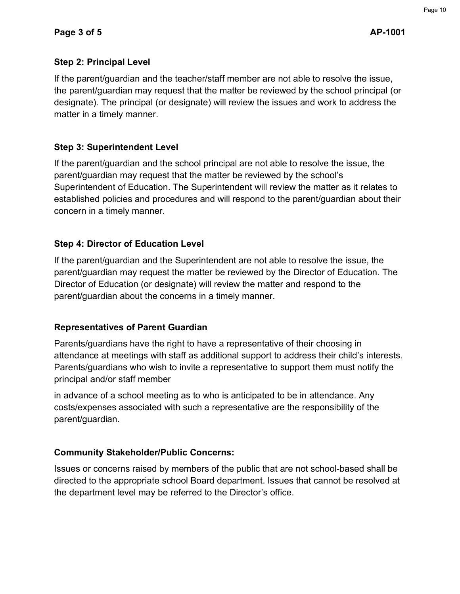### **Step 2: Principal Level**

If the parent/guardian and the teacher/staff member are not able to resolve the issue, the parent/guardian may request that the matter be reviewed by the school principal (or designate). The principal (or designate) will review the issues and work to address the matter in a timely manner.

### **Step 3: Superintendent Level**

If the parent/guardian and the school principal are not able to resolve the issue, the parent/guardian may request that the matter be reviewed by the school's Superintendent of Education. The Superintendent will review the matter as it relates to established policies and procedures and will respond to the parent/guardian about their concern in a timely manner.

### **Step 4: Director of Education Level**

If the parent/guardian and the Superintendent are not able to resolve the issue, the parent/guardian may request the matter be reviewed by the Director of Education. The Director of Education (or designate) will review the matter and respond to the parent/guardian about the concerns in a timely manner.

### **Representatives of Parent Guardian**

Parents/guardians have the right to have a representative of their choosing in attendance at meetings with staff as additional support to address their child's interests. Parents/guardians who wish to invite a representative to support them must notify the principal and/or staff member

in advance of a school meeting as to who is anticipated to be in attendance. Any costs/expenses associated with such a representative are the responsibility of the parent/guardian.

### **Community Stakeholder/Public Concerns:**

Issues or concerns raised by members of the public that are not school-based shall be directed to the appropriate school Board department. Issues that cannot be resolved at the department level may be referred to the Director's office.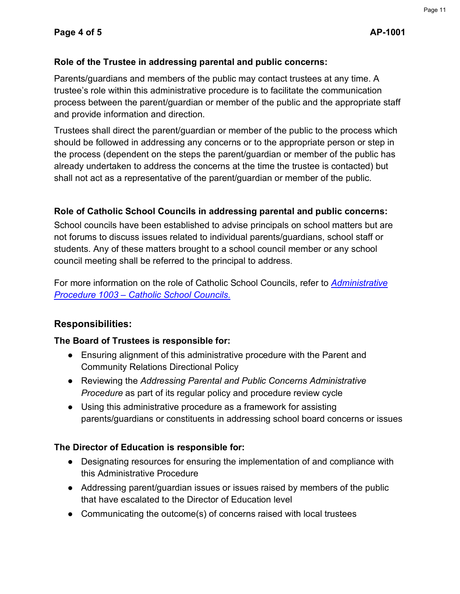### **Role of the Trustee in addressing parental and public concerns:**

Parents/guardians and members of the public may contact trustees at any time. A trustee's role within this administrative procedure is to facilitate the communication process between the parent/guardian or member of the public and the appropriate staff and provide information and direction.

Trustees shall direct the parent/guardian or member of the public to the process which should be followed in addressing any concerns or to the appropriate person or step in the process (dependent on the steps the parent/guardian or member of the public has already undertaken to address the concerns at the time the trustee is contacted) but shall not act as a representative of the parent/guardian or member of the public.

### **Role of Catholic School Councils in addressing parental and public concerns:**

School councils have been established to advise principals on school matters but are not forums to discuss issues related to individual parents/guardians, school staff or students. Any of these matters brought to a school council member or any school council meeting shall be referred to the principal to address.

For more information on the role of Catholic School Councils, refer to *Administrative Procedure 1003 – Catholic School Councils.*

### **Responsibilities:**

### **The Board of Trustees is responsible for:**

- Ensuring alignment of this administrative procedure with the Parent and Community Relations Directional Policy
- Reviewing the *Addressing Parental and Public Concerns Administrative Procedure* as part of its regular policy and procedure review cycle
- Using this administrative procedure as a framework for assisting parents/guardians or constituents in addressing school board concerns or issues

### **The Director of Education is responsible for:**

- Designating resources for ensuring the implementation of and compliance with this Administrative Procedure
- Addressing parent/guardian issues or issues raised by members of the public that have escalated to the Director of Education level
- Communicating the outcome(s) of concerns raised with local trustees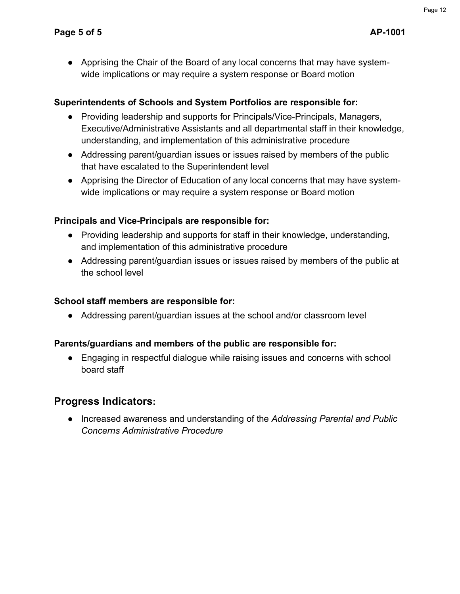● Apprising the Chair of the Board of any local concerns that may have systemwide implications or may require a system response or Board motion

### **Superintendents of Schools and System Portfolios are responsible for:**

- Providing leadership and supports for Principals/Vice-Principals, Managers, Executive/Administrative Assistants and all departmental staff in their knowledge, understanding, and implementation of this administrative procedure
- Addressing parent/guardian issues or issues raised by members of the public that have escalated to the Superintendent level
- Apprising the Director of Education of any local concerns that may have systemwide implications or may require a system response or Board motion

### **Principals and Vice-Principals are responsible for:**

- Providing leadership and supports for staff in their knowledge, understanding, and implementation of this administrative procedure
- Addressing parent/guardian issues or issues raised by members of the public at the school level

### **School staff members are responsible for:**

● Addressing parent/guardian issues at the school and/or classroom level

### **Parents/guardians and members of the public are responsible for:**

● Engaging in respectful dialogue while raising issues and concerns with school board staff

# **Progress Indicators:**

● Increased awareness and understanding of the *Addressing Parental and Public Concerns Administrative Procedure*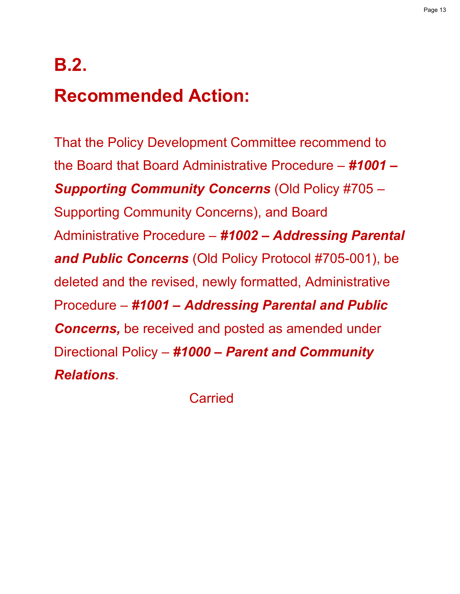# **B.2.**

# **Recommended Action:**

That the Policy Development Committee recommend to the Board that Board Administrative Procedure – *#1001 – Supporting Community Concerns* (Old Policy #705 – Supporting Community Concerns), and Board Administrative Procedure – *#1002 – Addressing Parental and Public Concerns* (Old Policy Protocol #705-001), be deleted and the revised, newly formatted, Administrative Procedure – *#1001 – Addressing Parental and Public Concerns,* be received and posted as amended under Directional Policy – *#1000 – Parent and Community Relations*.

**Carried**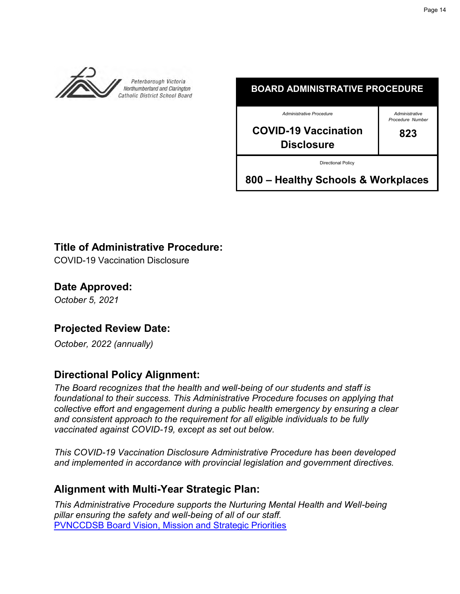<span id="page-13-0"></span>



# **Title of Administrative Procedure:**

COVID-19 Vaccination Disclosure

**Date Approved:** *October 5, 2021*

# **Projected Review Date:**

*October, 2022 (annually)*

# **Directional Policy Alignment:**

*The Board recognizes that the health and well-being of our students and staff is foundational to their success. This Administrative Procedure focuses on applying that collective effort and engagement during a public health emergency by ensuring a clear and consistent approach to the requirement for all eligible individuals to be fully vaccinated against COVID-19, except as set out below.* 

*This COVID-19 Vaccination Disclosure Administrative Procedure has been developed and implemented in accordance with provincial legislation and government directives.*

### **Alignment with Multi-Year Strategic Plan:**

*This Administrative Procedure supports the Nurturing Mental Health and Well-being pillar ensuring the safety and well-being of all of our staff.*  [PVNCCDSB Board Vision, Mission and Strategic Priorities](https://www.pvnccdsb.on.ca/our-board/vision-mission-and-strategic-priorities/)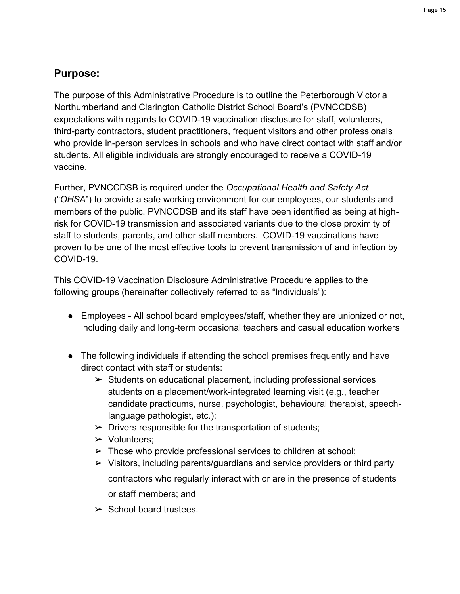# **Purpose:**

The purpose of this Administrative Procedure is to outline the Peterborough Victoria Northumberland and Clarington Catholic District School Board's (PVNCCDSB) expectations with regards to COVID-19 vaccination disclosure for staff, volunteers, third-party contractors, student practitioners, frequent visitors and other professionals who provide in-person services in schools and who have direct contact with staff and/or students. All eligible individuals are strongly encouraged to receive a COVID-19 vaccine.

Further, PVNCCDSB is required under the *Occupational Health and Safety Act* ("*OHSA*") to provide a safe working environment for our employees, our students and members of the public. PVNCCDSB and its staff have been identified as being at highrisk for COVID-19 transmission and associated variants due to the close proximity of staff to students, parents, and other staff members. COVID-19 vaccinations have proven to be one of the most effective tools to prevent transmission of and infection by COVID-19.

This COVID-19 Vaccination Disclosure Administrative Procedure applies to the following groups (hereinafter collectively referred to as "Individuals"):

- Employees All school board employees/staff, whether they are unionized or not, including daily and long-term occasional teachers and casual education workers
- The following individuals if attending the school premises frequently and have direct contact with staff or students:
	- $\triangleright$  Students on educational placement, including professional services students on a placement/work-integrated learning visit (e.g., teacher candidate practicums, nurse, psychologist, behavioural therapist, speechlanguage pathologist, etc.);
	- $\triangleright$  Drivers responsible for the transportation of students;
	- ➢ Volunteers;
	- $\triangleright$  Those who provide professional services to children at school;
	- $\triangleright$  Visitors, including parents/guardians and service providers or third party contractors who regularly interact with or are in the presence of students or staff members; and
	- $\triangleright$  School board trustees.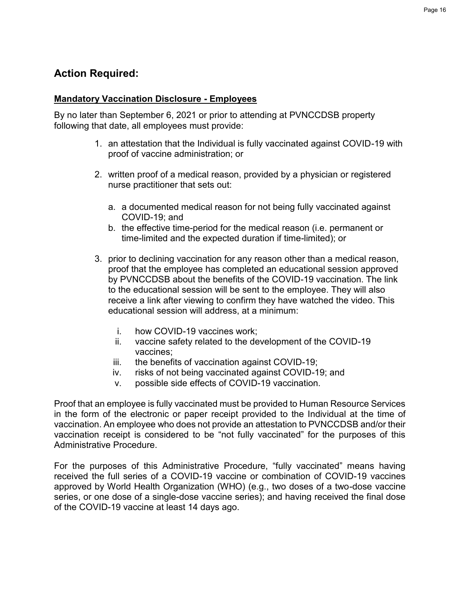# **Action Required:**

### **Mandatory Vaccination Disclosure - Employees**

By no later than September 6, 2021 or prior to attending at PVNCCDSB property following that date, all employees must provide:

- 1. an attestation that the Individual is fully vaccinated against COVID-19 with proof of vaccine administration; or
- 2. written proof of a medical reason, provided by a physician or registered nurse practitioner that sets out:
	- a. a documented medical reason for not being fully vaccinated against COVID-19; and
	- b. the effective time-period for the medical reason (i.e. permanent or time-limited and the expected duration if time-limited); or
- 3. prior to declining vaccination for any reason other than a medical reason, proof that the employee has completed an educational session approved by PVNCCDSB about the benefits of the COVID-19 vaccination. The link to the educational session will be sent to the employee. They will also receive a link after viewing to confirm they have watched the video. This educational session will address, at a minimum:
	- i. how COVID-19 vaccines work;
	- ii. vaccine safety related to the development of the COVID-19 vaccines;
	- iii. the benefits of vaccination against COVID-19;
	- iv. risks of not being vaccinated against COVID-19; and
	- v. possible side effects of COVID-19 vaccination.

Proof that an employee is fully vaccinated must be provided to Human Resource Services in the form of the electronic or paper receipt provided to the Individual at the time of vaccination. An employee who does not provide an attestation to PVNCCDSB and/or their vaccination receipt is considered to be "not fully vaccinated" for the purposes of this Administrative Procedure.

For the purposes of this Administrative Procedure, "fully vaccinated" means having received the full series of a COVID-19 vaccine or combination of COVID-19 vaccines approved by World Health Organization (WHO) (e.g., two doses of a two-dose vaccine series, or one dose of a single-dose vaccine series); and having received the final dose of the COVID-19 vaccine at least 14 days ago.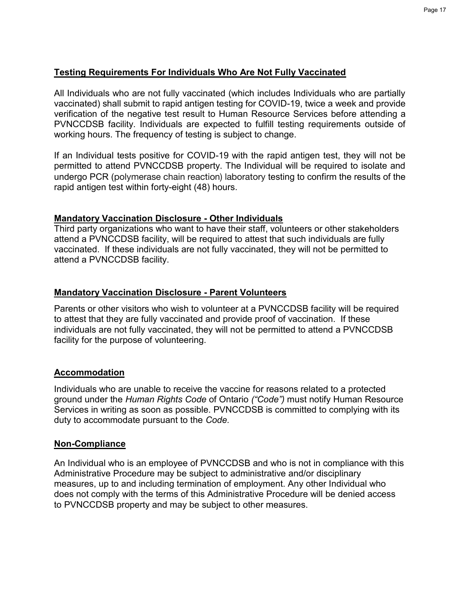### **Testing Requirements For Individuals Who Are Not Fully Vaccinated**

All Individuals who are not fully vaccinated (which includes Individuals who are partially vaccinated) shall submit to rapid antigen testing for COVID-19, twice a week and provide verification of the negative test result to Human Resource Services before attending a PVNCCDSB facility. Individuals are expected to fulfill testing requirements outside of working hours. The frequency of testing is subject to change.

If an Individual tests positive for COVID-19 with the rapid antigen test, they will not be permitted to attend PVNCCDSB property. The Individual will be required to isolate and undergo PCR (polymerase chain reaction) laboratory testing to confirm the results of the rapid antigen test within forty-eight (48) hours.

### **Mandatory Vaccination Disclosure - Other Individuals**

Third party organizations who want to have their staff, volunteers or other stakeholders attend a PVNCCDSB facility, will be required to attest that such individuals are fully vaccinated. If these individuals are not fully vaccinated, they will not be permitted to attend a PVNCCDSB facility.

### **Mandatory Vaccination Disclosure - Parent Volunteers**

Parents or other visitors who wish to volunteer at a PVNCCDSB facility will be required to attest that they are fully vaccinated and provide proof of vaccination. If these individuals are not fully vaccinated, they will not be permitted to attend a PVNCCDSB facility for the purpose of volunteering.

### **Accommodation**

Individuals who are unable to receive the vaccine for reasons related to a protected ground under the *Human Rights Code* of Ontario *("Code")* must notify Human Resource Services in writing as soon as possible. PVNCCDSB is committed to complying with its duty to accommodate pursuant to the *Code.*

### **Non-Compliance**

An Individual who is an employee of PVNCCDSB and who is not in compliance with this Administrative Procedure may be subject to administrative and/or disciplinary measures, up to and including termination of employment. Any other Individual who does not comply with the terms of this Administrative Procedure will be denied access to PVNCCDSB property and may be subject to other measures.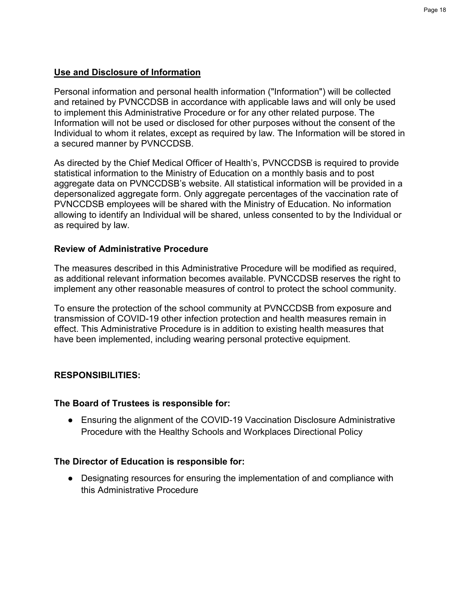### **Use and Disclosure of Information**

Personal information and personal health information ("Information") will be collected and retained by PVNCCDSB in accordance with applicable laws and will only be used to implement this Administrative Procedure or for any other related purpose. The Information will not be used or disclosed for other purposes without the consent of the Individual to whom it relates, except as required by law. The Information will be stored in a secured manner by PVNCCDSB.

As directed by the Chief Medical Officer of Health's, PVNCCDSB is required to provide statistical information to the Ministry of Education on a monthly basis and to post aggregate data on PVNCCDSB's website. All statistical information will be provided in a depersonalized aggregate form. Only aggregate percentages of the vaccination rate of PVNCCDSB employees will be shared with the Ministry of Education. No information allowing to identify an Individual will be shared, unless consented to by the Individual or as required by law.

### **Review of Administrative Procedure**

The measures described in this Administrative Procedure will be modified as required, as additional relevant information becomes available. PVNCCDSB reserves the right to implement any other reasonable measures of control to protect the school community.

To ensure the protection of the school community at PVNCCDSB from exposure and transmission of COVID-19 other infection protection and health measures remain in effect. This Administrative Procedure is in addition to existing health measures that have been implemented, including wearing personal protective equipment.

### **RESPONSIBILITIES:**

### **The Board of Trustees is responsible for:**

● Ensuring the alignment of the COVID-19 Vaccination Disclosure Administrative Procedure with the Healthy Schools and Workplaces Directional Policy

### **The Director of Education is responsible for:**

● Designating resources for ensuring the implementation of and compliance with this Administrative Procedure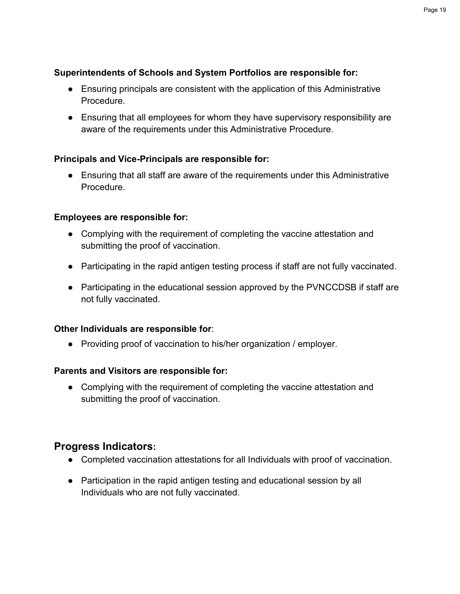### **Superintendents of Schools and System Portfolios are responsible for:**

- Ensuring principals are consistent with the application of this Administrative Procedure.
- Ensuring that all employees for whom they have supervisory responsibility are aware of the requirements under this Administrative Procedure.

### **Principals and Vice-Principals are responsible for:**

● Ensuring that all staff are aware of the requirements under this Administrative Procedure.

### **Employees are responsible for:**

- Complying with the requirement of completing the vaccine attestation and submitting the proof of vaccination.
- Participating in the rapid antigen testing process if staff are not fully vaccinated.
- Participating in the educational session approved by the PVNCCDSB if staff are not fully vaccinated.

### **Other Individuals are responsible for**:

● Providing proof of vaccination to his/her organization / employer.

### **Parents and Visitors are responsible for:**

• Complying with the requirement of completing the vaccine attestation and submitting the proof of vaccination.

### **Progress Indicators:**

- Completed vaccination attestations for all Individuals with proof of vaccination.
- Participation in the rapid antigen testing and educational session by all Individuals who are not fully vaccinated.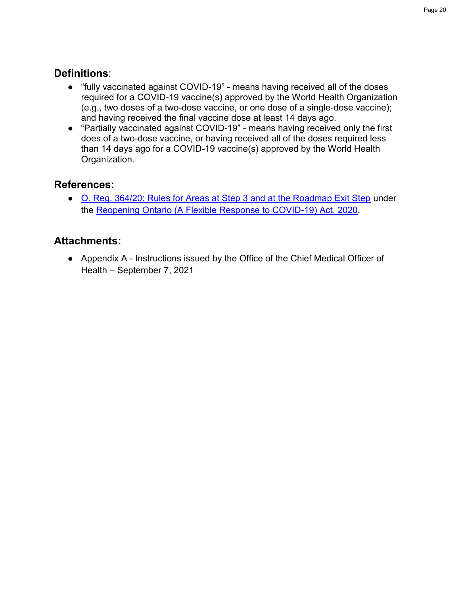# **Definitions**:

- "fully vaccinated against COVID-19" means having received all of the doses required for a COVID-19 vaccine(s) approved by the World Health Organization (e.g., two doses of a two-dose vaccine, or one dose of a single-dose vaccine); and having received the final vaccine dose at least 14 days ago.
- "Partially vaccinated against COVID-19" means having received only the first does of a two-dose vaccine, or having received all of the doses required less than 14 days ago for a COVID-19 vaccine(s) approved by the World Health Organization.

# **References:**

● [O. Reg. 364/20: Rules for Areas at Step 3 and at the Roadmap Exit Step](https://www.ontario.ca/laws/regulation/200364#BK8) under the [Reopening Ontario \(A Flexible Response to COVID-19\) Act, 2020.](https://www.ontario.ca/laws/statute/20r17)

# **Attachments:**

● Appendix A - Instructions issued by the Office of the Chief Medical Officer of Health – September 7, 2021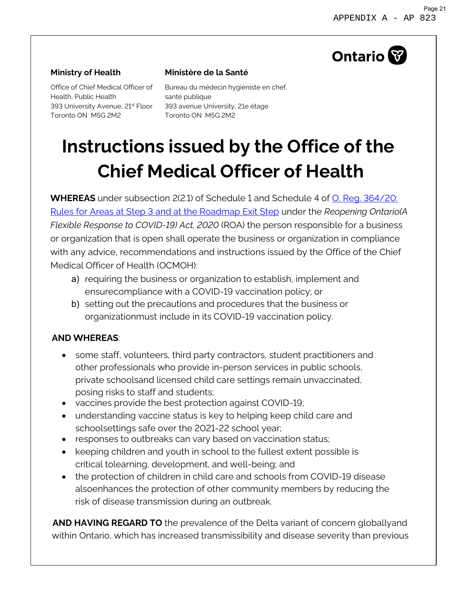# **Ontario**

### **Ministry of Health**

Office of Chief Medical Officer of Health, Public Health Toronto ON M5G 2M2

### **Ministère de la Santé**

393 University Avenue, 21<sup>st</sup> Floor 393 avenue University, 21e étage Bureau du médecin hygiéniste en chef, santé publique Toronto ON M5G 2M2

# **Instructions issued by the Office of the Chief Medical Officer of Health**

**WHEREAS** under subsection 2(2.1) of Schedule 1 and Schedule 4 of [O. Reg. 364/20:](https://www.ontario.ca/laws/regulation/200364) Rules for Areas [at Step 3 and at the Roadmap Exit Step](https://www.ontario.ca/laws/regulation/200364) under the *Reopening Ontario(A Flexible Response to COVID-19) Act, 2020* (ROA) the person responsible for a business or organization that is open shall operate the business or organization in compliance with any advice, recommendations and instructions issued by the Office of the Chief Medical Officer of Health (OCMOH):

- a) requiring the business or organization to establish, implement and ensurecompliance with a COVID-19 vaccination policy; or
- b) setting out the precautions and procedures that the business or organizationmust include in its COVID-19 vaccination policy.

### **AND WHEREAS**:

- some staff, volunteers, third party contractors, student practitioners and other professionals who provide in-person services in public schools, private schoolsand licensed child care settings remain unvaccinated, posing risks to staff and students;
- vaccines provide the best protection against COVID-19;
- understanding vaccine status is key to helping keep child care and schoolsettings safe over the 2021-22 school year;
- responses to outbreaks can vary based on vaccination status;
- keeping children and youth in school to the fullest extent possible is critical tolearning, development, and well-being; and
- the protection of children in child care and schools from COVID-19 disease alsoenhances the protection of other community members by reducing the risk of disease transmission during an outbreak.

**AND HAVING REGARD TO** the prevalence of the Delta variant of concern globallyand within Ontario, which has increased transmissibility and disease severity than previous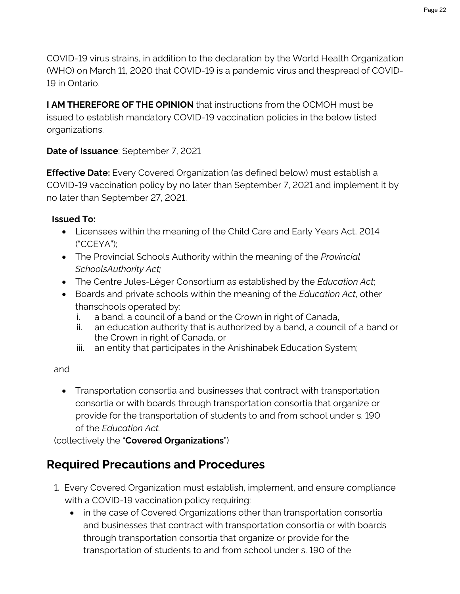COVID-19 virus strains, in addition to the declaration by the World Health Organization (WHO) on March 11, 2020 that COVID-19 is a pandemic virus and thespread of COVID-19 in Ontario.

**I AM THEREFORE OF THE OPINION** that instructions from the OCMOH must be issued to establish mandatory COVID-19 vaccination policies in the below listed organizations.

### **Date of Issuance**: September 7, 2021

**Effective Date:** Every Covered Organization (as defined below) must establish a COVID-19 vaccination policy by no later than September 7, 2021 and implement it by no later than September 27, 2021.

### **Issued To:**

- Licensees within the meaning of the Child Care and Early Years Act, 2014 ("CCEYA");
- The Provincial Schools Authority within the meaning of the *Provincial SchoolsAuthority Act;*
- The Centre Jules-Léger Consortium as established by the *Education Act*;
- Boards and private schools within the meaning of the *Education Act*, other thanschools operated by:
	- i. a band, a council of a band or the Crown in right of Canada,
	- ii. an education authority that is authorized by a band, a council of a band or the Crown in right of Canada, or
	- iii. an entity that participates in the Anishinabek Education System;

### and

• Transportation consortia and businesses that contract with transportation consortia or with boards through transportation consortia that organize or provide for the transportation of students to and from school under s. 190 of the *Education Act.*

(collectively the "**Covered Organizations**")

# **Required Precautions and Procedures**

- 1. Every Covered Organization must establish, implement, and ensure compliance with a COVID-19 vaccination policy requiring:
	- in the case of Covered Organizations other than transportation consortia and businesses that contract with transportation consortia or with boards through transportation consortia that organize or provide for the transportation of students to and from school under s. 190 of the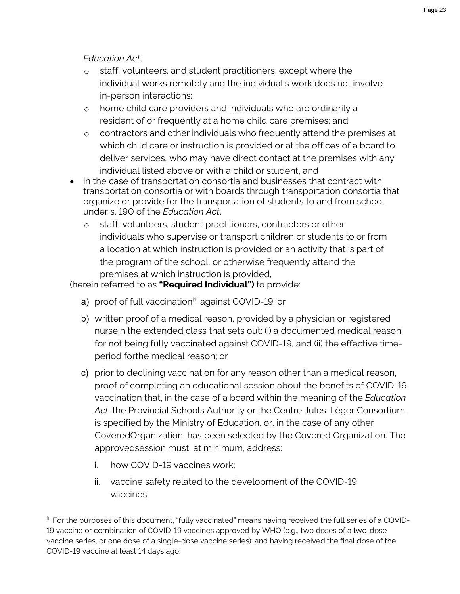*Education Act*,

- o staff, volunteers, and student practitioners, except where the individual works remotely and the individual's work does not involve in-person interactions;
- o home child care providers and individuals who are ordinarily a resident of or frequently at a home child care premises; and
- o contractors and other individuals who frequently attend the premises at which child care or instruction is provided or at the offices of a board to deliver services, who may have direct contact at the premises with any individual listed above or with a child or student, and
- in the case of transportation consortia and businesses that contract with transportation consortia or with boards through transportation consortia that organize or provide for the transportation of students to and from school under s. 190 of the *Education Act*,
	- o staff, volunteers, student practitioners, contractors or other individuals who supervise or transport children or students to or from a location at which instruction is provided or an activity that is part of the program of the school, or otherwise frequently attend the premises at which instruction is provided,

(herein referred to as **"Required Individual")** to provide:

- a) proof of full vaccination<sup>[\[1\]](#page-22-0)</sup> against COVID-19; or
- b) written proof of a medical reason, provided by a physician or registered nursein the extended class that sets out: (i) a documented medical reason for not being fully vaccinated against COVID-19, and (ii) the effective timeperiod forthe medical reason; or
- c) prior to declining vaccination for any reason other than a medical reason, proof of completing an educational session about the benefits of COVID-19 vaccination that, in the case of a board within the meaning of the *Education Act*, the Provincial Schools Authority or the Centre Jules-Léger Consortium, is specified by the Ministry of Education, or, in the case of any other CoveredOrganization, has been selected by the Covered Organization. The approvedsession must, at minimum, address:
	- i. how COVID-19 vaccines work;
	- ii. vaccine safety related to the development of the COVID-19 vaccines;

<span id="page-22-0"></span><sup>[1]</sup> For the purposes of this document, "fully vaccinated" means having received the full series of a COVID-19 vaccine or combination of COVID-19 vaccines approved by WHO (e.g., two doses of a two-dose vaccine series, or one dose of a single-dose vaccine series); and having received the final dose of the COVID-19 vaccine at least 14 days ago.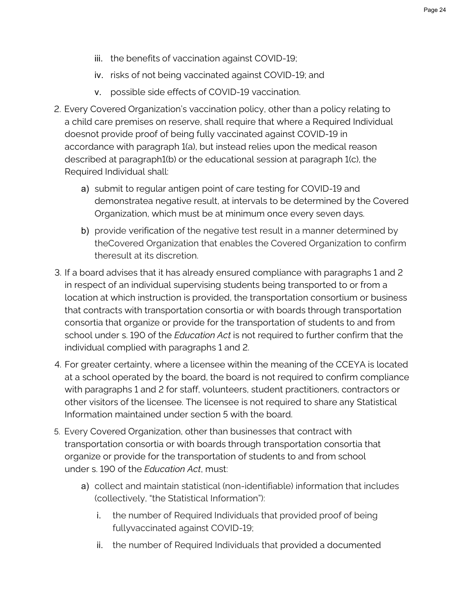- iii. the benefits of vaccination against COVID-19;
- iv. risks of not being vaccinated against COVID-19; and
- v. possible side effects of COVID-19 vaccination.
- 2. Every Covered Organization's vaccination policy, other than a policy relating to a child care premises on reserve, shall require that where a Required Individual doesnot provide proof of being fully vaccinated against COVID-19 in accordance with paragraph 1(a), but instead relies upon the medical reason described at paragraph1(b) or the educational session at paragraph 1(c), the Required Individual shall:
	- a) submit to regular antigen point of care testing for COVID-19 and demonstratea negative result, at intervals to be determined by the Covered Organization, which must be at minimum once every seven days.
	- b) provide verification of the negative test result in a manner determined by theCovered Organization that enables the Covered Organization to confirm theresult at its discretion.
- 3. If a board advises that it has already ensured compliance with paragraphs 1 and 2 in respect of an individual supervising students being transported to or from a location at which instruction is provided, the transportation consortium or business that contracts with transportation consortia or with boards through transportation consortia that organize or provide for the transportation of students to and from school under s. 190 of the *Education Act* is not required to further confirm that the individual complied with paragraphs 1 and 2.
- 4. For greater certainty, where a licensee within the meaning of the CCEYA is located at a school operated by the board, the board is not required to confirm compliance with paragraphs 1 and 2 for staff, volunteers, student practitioners, contractors or other visitors of the licensee. The licensee is not required to share any Statistical Information maintained under section 5 with the board.
- 5. Every Covered Organization, other than businesses that contract with transportation consortia or with boards through transportation consortia that organize or provide for the transportation of students to and from school under s. 190 of the *Education Act*, must:
	- a) collect and maintain statistical (non-identifiable) information that includes (collectively, "the Statistical Information"):
		- i. the number of Required Individuals that provided proof of being fullyvaccinated against COVID-19;
		- ii. the number of Required Individuals that provided a documented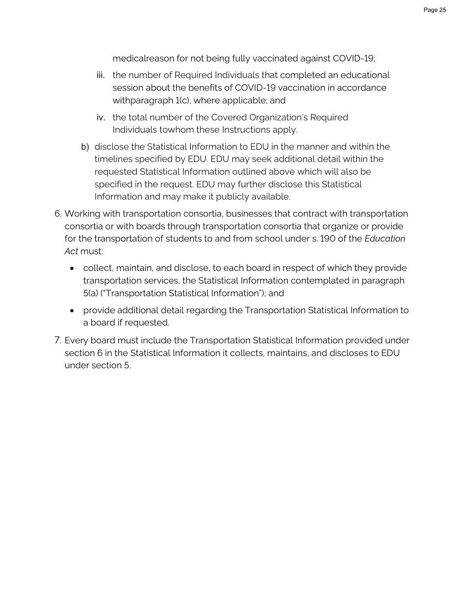medicalreason for not being fully vaccinated against COVID-19;

- iii. the number of Required Individuals that completed an educational session about the benefits of COVID-19 vaccination in accordance withparagraph 1(c), where applicable; and
- iv. the total number of the Covered Organization's Required Individuals towhom these Instructions apply.
- b) disclose the Statistical Information to EDU in the manner and within the timelines specified by EDU. EDU may seek additional detail within the requested Statistical Information outlined above which will also be specified in the request. EDU may further disclose this Statistical Information and may make it publicly available.
- 6. Working with transportation consortia, businesses that contract with transportation consortia or with boards through transportation consortia that organize or provide for the transportation of students to and from school under s. 190 of the *Education Act* must:
	- collect, maintain, and disclose, to each board in respect of which they provide transportation services, the Statistical Information contemplated in paragraph 5(a) ("Transportation Statistical Information"); and
	- provide additional detail regarding the Transportation Statistical Information to a board if requested.
- 7. Every board must include the Transportation Statistical Information provided under section 6 in the Statistical Information it collects, maintains, and discloses to EDU under section 5.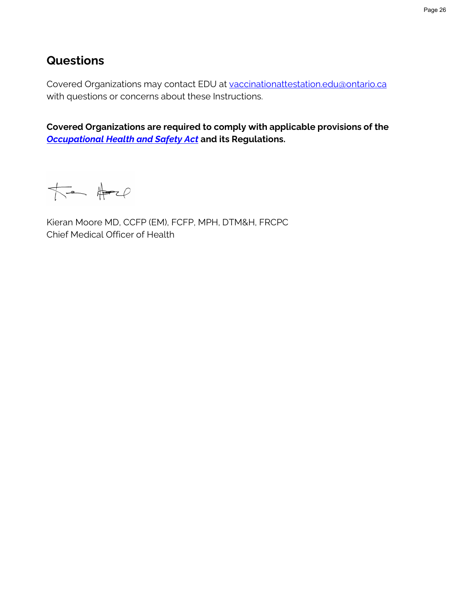# **Questions**

Covered Organizations may contact EDU at [vaccinationattestation.edu@ontario.ca](mailto:vaccinationattestation.edu@ontario.ca) with questions or concerns about these Instructions.

**Covered Organizations are required to comply with applicable provisions of the** *[Occupational](http://www.e-laws.gov.on.ca/html/statutes/english/elaws_statutes_90o01_e.htm) Health and Safety Act* **and its Regulations.**

 $\overline{\text{R}}$ 

Kieran Moore MD, CCFP (EM), FCFP, MPH, DTM&H, FRCPC Chief Medical Officer of Health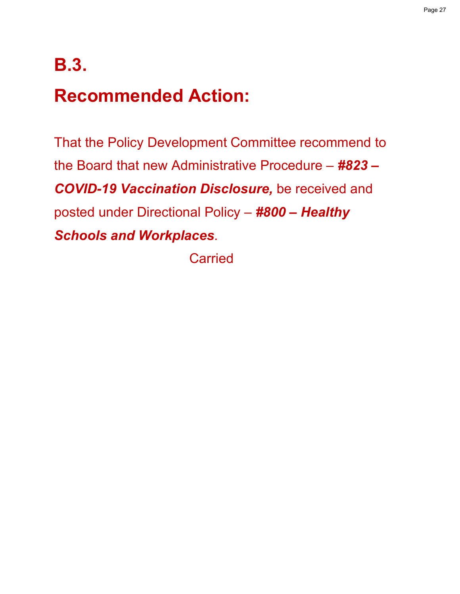# **B.3. Recommended Action:**

That the Policy Development Committee recommend to the Board that new Administrative Procedure – *#823 – COVID-19 Vaccination Disclosure,* be received and posted under Directional Policy – *#800 – Healthy Schools and Workplaces*.

**Carried**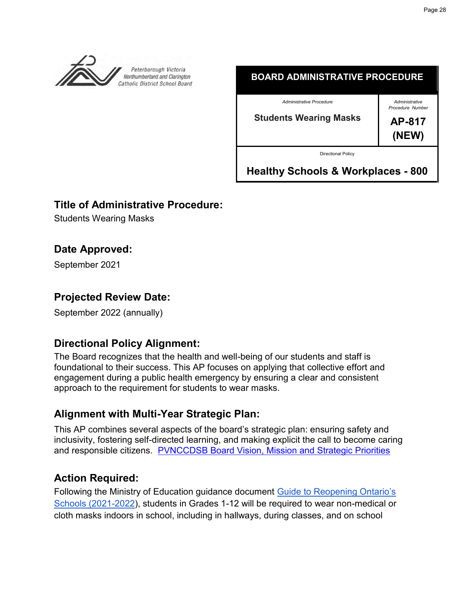<span id="page-27-0"></span>

### **BOARD ADMINISTRATIVE PROCEDURE**

*Administrative Procedure*

**Students Wearing Masks**

*Administrative Procedure Number*

**AP-817 (NEW)**

Directional Policy

**Healthy Schools & Workplaces - 800**

### **Title of Administrative Procedure:**

Students Wearing Masks

# **Date Approved:**

September 2021

# **Projected Review Date:**

September 2022 (annually)

# **Directional Policy Alignment:**

The Board recognizes that the health and well-being of our students and staff is foundational to their success. This AP focuses on applying that collective effort and engagement during a public health emergency by ensuring a clear and consistent approach to the requirement for students to wear masks.

# **Alignment with Multi-Year Strategic Plan:**

This AP combines several aspects of the board's strategic plan: ensuring safety and inclusivity, fostering self-directed learning, and making explicit the call to become caring and responsible citizens. [PVNCCDSB Board Vision, Mission and Strategic Priorities](https://www.pvnccdsb.on.ca/our-board/vision-mission-and-strategic-priorities/)

# **Action Required:**

Following the Ministry of Education guidance document [Guide to Reopening Ontario's](https://www.ontario.ca/document/covid-19-health-safety-and-operational-guidance-schools-2021-2022) [Schools \(2021-2022\)](https://www.ontario.ca/document/covid-19-health-safety-and-operational-guidance-schools-2021-2022), students in Grades 1-12 will be required to wear non-medical or cloth masks indoors in school, including in hallways, during classes, and on school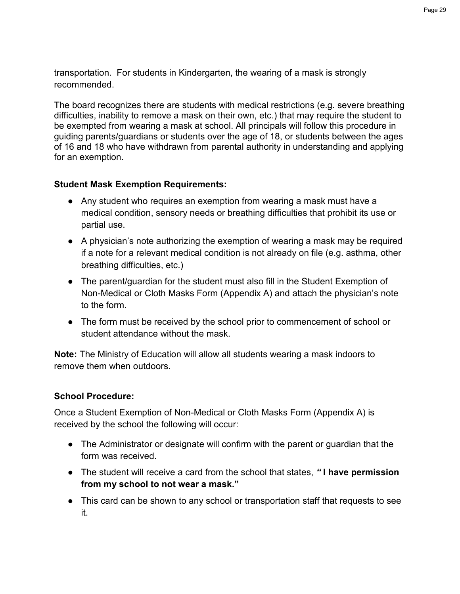transportation. For students in Kindergarten, the wearing of a mask is strongly recommended.

The board recognizes there are students with medical restrictions (e.g. severe breathing difficulties, inability to remove a mask on their own, etc.) that may require the student to be exempted from wearing a mask at school. All principals will follow this procedure in guiding parents/guardians or students over the age of 18, or students between the ages of 16 and 18 who have withdrawn from parental authority in understanding and applying for an exemption.

### **Student Mask Exemption Requirements:**

- Any student who requires an exemption from wearing a mask must have a medical condition, sensory needs or breathing difficulties that prohibit its use or partial use.
- A physician's note authorizing the exemption of wearing a mask may be required if a note for a relevant medical condition is not already on file (e.g. asthma, other breathing difficulties, etc.)
- The parent/guardian for the student must also fill in the Student Exemption of Non-Medical or Cloth Masks Form (Appendix A) and attach the physician's note to the form.
- The form must be received by the school prior to commencement of school or student attendance without the mask

**Note:** The Ministry of Education will allow all students wearing a mask indoors to remove them when outdoors.

### **School Procedure:**

Once a Student Exemption of Non-Medical or Cloth Masks Form (Appendix A) is received by the school the following will occur:

- The Administrator or designate will confirm with the parent or guardian that the form was received.
- The student will receive a card from the school that states, *"* **I have permission from my school to not wear a mask."**
- This card can be shown to any school or transportation staff that requests to see it.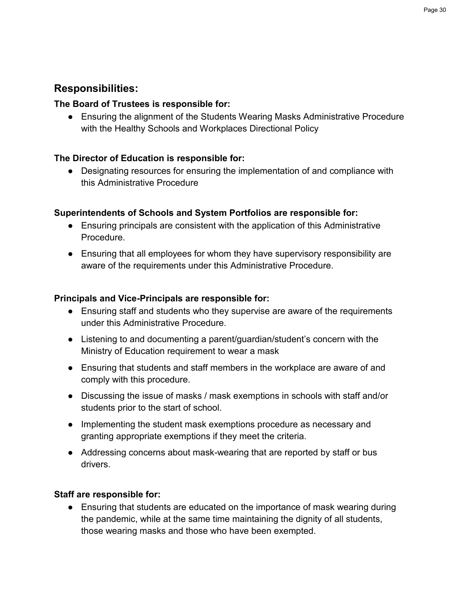# **Responsibilities:**

### **The Board of Trustees is responsible for:**

● Ensuring the alignment of the Students Wearing Masks Administrative Procedure with the Healthy Schools and Workplaces Directional Policy

### **The Director of Education is responsible for:**

● Designating resources for ensuring the implementation of and compliance with this Administrative Procedure

### **Superintendents of Schools and System Portfolios are responsible for:**

- Ensuring principals are consistent with the application of this Administrative **Procedure**
- Ensuring that all employees for whom they have supervisory responsibility are aware of the requirements under this Administrative Procedure.

### **Principals and Vice-Principals are responsible for:**

- Ensuring staff and students who they supervise are aware of the requirements under this Administrative Procedure.
- Listening to and documenting a parent/guardian/student's concern with the Ministry of Education requirement to wear a mask
- Ensuring that students and staff members in the workplace are aware of and comply with this procedure.
- Discussing the issue of masks / mask exemptions in schools with staff and/or students prior to the start of school.
- Implementing the student mask exemptions procedure as necessary and granting appropriate exemptions if they meet the criteria.
- Addressing concerns about mask-wearing that are reported by staff or bus drivers.

### **Staff are responsible for:**

● Ensuring that students are educated on the importance of mask wearing during the pandemic, while at the same time maintaining the dignity of all students, those wearing masks and those who have been exempted.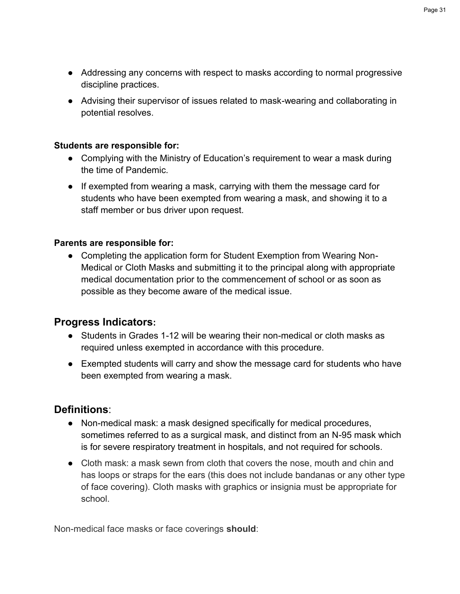- Addressing any concerns with respect to masks according to normal progressive discipline practices.
- Advising their supervisor of issues related to mask-wearing and collaborating in potential resolves.

### **Students are responsible for:**

- Complying with the Ministry of Education's requirement to wear a mask during the time of Pandemic.
- If exempted from wearing a mask, carrying with them the message card for students who have been exempted from wearing a mask, and showing it to a staff member or bus driver upon request.

### **Parents are responsible for:**

• Completing the application form for Student Exemption from Wearing Non-Medical or Cloth Masks and submitting it to the principal along with appropriate medical documentation prior to the commencement of school or as soon as possible as they become aware of the medical issue.

### **Progress Indicators:**

- Students in Grades 1-12 will be wearing their non-medical or cloth masks as required unless exempted in accordance with this procedure.
- Exempted students will carry and show the message card for students who have been exempted from wearing a mask.

### **Definitions**:

- Non-medical mask: a mask designed specifically for medical procedures, sometimes referred to as a surgical mask, and distinct from an N-95 mask which is for severe respiratory treatment in hospitals, and not required for schools.
- Cloth mask: a mask sewn from cloth that covers the nose, mouth and chin and has loops or straps for the ears (this does not include bandanas or any other type of face covering). Cloth masks with graphics or insignia must be appropriate for school.

Non-medical face masks or face coverings **should**: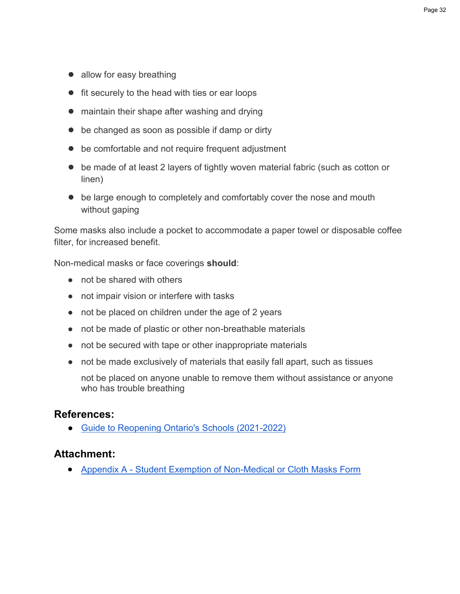- allow for easy breathing
- fit securely to the head with ties or ear loops
- maintain their shape after washing and drying
- be changed as soon as possible if damp or dirty
- be comfortable and not require frequent adjustment
- be made of at least 2 layers of tightly woven material fabric (such as cotton or linen)
- be large enough to completely and comfortably cover the nose and mouth without gaping

Some masks also include a pocket to accommodate a paper towel or disposable coffee filter, for increased benefit.

Non-medical masks or face coverings **should**:

- not be shared with others
- not impair vision or interfere with tasks
- not be placed on children under the age of 2 years
- not be made of plastic or other non-breathable materials
- not be secured with tape or other inappropriate materials
- not be made exclusively of materials that easily fall apart, such as tissues

not be placed on anyone unable to remove them without assistance or anyone who has trouble breathing

### **References:**

● [Guide to Reopening Ontario's Schools \(2021-2022\)](https://www.ontario.ca/document/covid-19-health-safety-and-operational-guidance-schools-2021-2022)

### **Attachment:**

Appendix A - [Student Exemption of Non-Medical or Cloth Masks Form](https://www.pvnccdsb.on.ca/wp-content/uploads/2020/09/817-Appendix-A-Students-Wearing-Masks-1.pdf)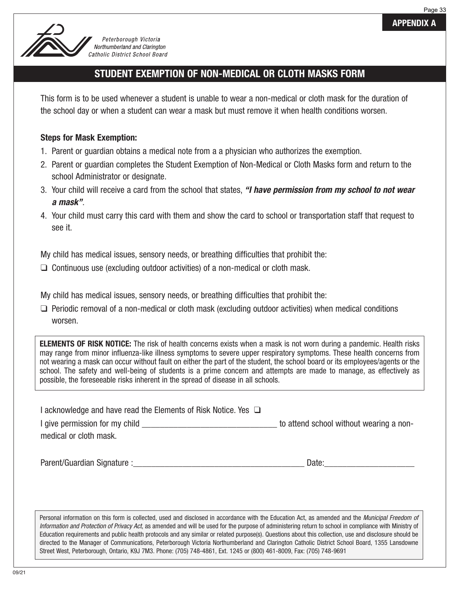



Peterborough Victoria Northumberland and Clarington Catholic District School Board

# **STUDENT EXEMPTION OF NON-MEDICAL OR CLOTH MASKS FORM**

This form is to be used whenever a student is unable to wear a non-medical or cloth mask for the duration of the school day or when a student can wear a mask but must remove it when health conditions worsen.

### **Steps for Mask Exemption:**

- 1. Parent or guardian obtains a medical note from a a physician who authorizes the exemption.
- 2. Parent or guardian completes the Student Exemption of Non-Medical or Cloth Masks form and return to the school Administrator or designate.
- 3. Your child will receive a card from the school that states, **"I have permission from my school to not wear a mask"**.
- 4. Your child must carry this card with them and show the card to school or transportation staff that request to see it.

My child has medical issues, sensory needs, or breathing difficulties that prohibit the:

❑ Continuous use (excluding outdoor activities) of a non-medical or cloth mask.

My child has medical issues, sensory needs, or breathing difficulties that prohibit the:

❑ Periodic removal of a non-medical or cloth mask (excluding outdoor activities) when medical conditions worsen.

**ELEMENTS OF RISK NOTICE:** The risk of health concerns exists when a mask is not worn during a pandemic. Health risks may range from minor influenza-like illness symptoms to severe upper respiratory symptoms. These health concerns from not wearing a mask can occur without fault on either the part of the student, the school board or its employees/agents or the school. The safety and well-being of students is a prime concern and attempts are made to manage, as effectively as possible, the foreseeable risks inherent in the spread of disease in all schools.

| I acknowledge and have read the Elements of Risk Notice. Yes $\Box$ |                                         |  |  |  |  |
|---------------------------------------------------------------------|-----------------------------------------|--|--|--|--|
| I give permission for my child                                      | to attend school without wearing a non- |  |  |  |  |
| medical or cloth mask.                                              |                                         |  |  |  |  |

Parent/Guardian Signature :\_\_\_\_\_\_\_\_\_\_\_\_\_\_\_\_\_\_\_\_\_\_\_\_\_\_\_\_\_\_\_\_\_\_\_\_\_\_ Date:\_\_\_\_\_\_\_\_\_\_\_\_\_\_\_\_\_\_\_\_

Personal information on this form is collected, used and disclosed in accordance with the Education Act, as amended and the Municipal Freedom of Information and Protection of Privacy Act, as amended and will be used for the purpose of administering return to school in compliance with Ministry of Education requirements and public health protocols and any similar or related purpose(s). Questions about this collection, use and disclosure should be directed to the Manager of Communications, Peterborough Victoria Northumberland and Clarington Catholic District School Board, 1355 Lansdowne Street West, Peterborough, Ontario, K9J 7M3. Phone: (705) 748-4861, Ext. 1245 or (800) 461-8009, Fax: (705) 748-9691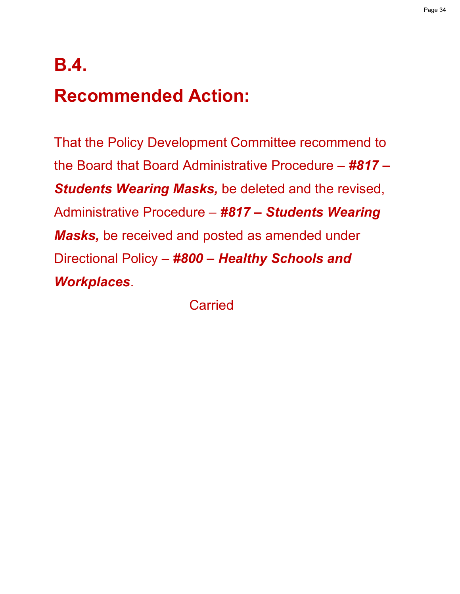# **B.4. Recommended Action:**

That the Policy Development Committee recommend to the Board that Board Administrative Procedure – *#817 – Students Wearing Masks,* be deleted and the revised, Administrative Procedure – *#817 – Students Wearing Masks,* be received and posted as amended under Directional Policy – *#800 – Healthy Schools and Workplaces*.

**Carried**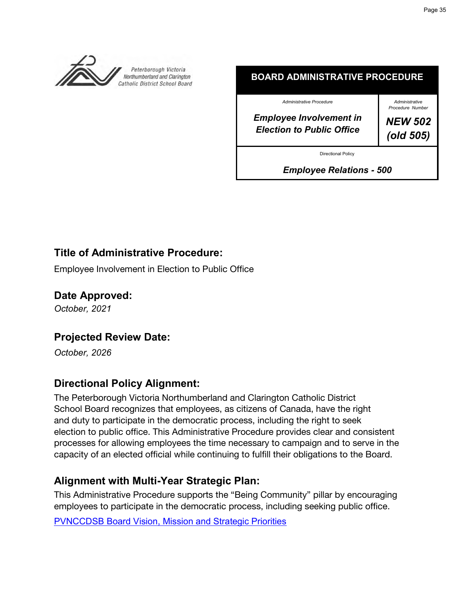<span id="page-34-0"></span>

**BOARD ADMINISTRATIVE PROCEDURE**

*Administrative Procedure*

*Employee Involvement in Election to Public Office*

*Administrative Procedure Number NEW 502*

*(old 505)*

Directional Policy

*Employee Relations - 500*

# **Title of Administrative Procedure:**

Employee Involvement in Election to Public Office

### **Date Approved:**

*October, 2021*

# **Projected Review Date:**

*October, 2026*

# **Directional Policy Alignment:**

The Peterborough Victoria Northumberland and Clarington Catholic District School Board recognizes that employees, as citizens of Canada, have the right and duty to participate in the democratic process, including the right to seek election to public office. This Administrative Procedure provides clear and consistent processes for allowing employees the time necessary to campaign and to serve in the capacity of an elected official while continuing to fulfill their obligations to the Board.

# **Alignment with Multi-Year Strategic Plan:**

This Administrative Procedure supports the "Being Community" pillar by encouraging employees to participate in the democratic process, including seeking public office. [PVNCCDSB Board Vision, Mission and Strategic Priorities](https://www.pvnccdsb.on.ca/our-board/vision-mission-and-strategic-priorities/)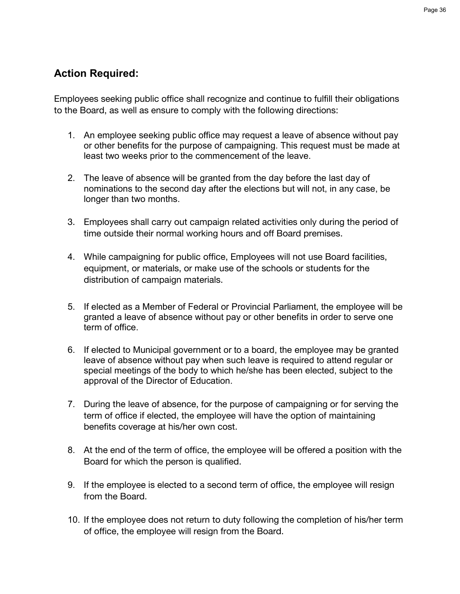# **Action Required:**

Employees seeking public office shall recognize and continue to fulfill their obligations to the Board, as well as ensure to comply with the following directions:

- 1. An employee seeking public office may request a leave of absence without pay or other benefits for the purpose of campaigning. This request must be made at least two weeks prior to the commencement of the leave.
- 2. The leave of absence will be granted from the day before the last day of nominations to the second day after the elections but will not, in any case, be longer than two months.
- 3. Employees shall carry out campaign related activities only during the period of time outside their normal working hours and off Board premises.
- 4. While campaigning for public office, Employees will not use Board facilities, equipment, or materials, or make use of the schools or students for the distribution of campaign materials.
- 5. If elected as a Member of Federal or Provincial Parliament, the employee will be granted a leave of absence without pay or other benefits in order to serve one term of office.
- 6. If elected to Municipal government or to a board, the employee may be granted leave of absence without pay when such leave is required to attend regular or special meetings of the body to which he/she has been elected, subject to the approval of the Director of Education.
- 7. During the leave of absence, for the purpose of campaigning or for serving the term of office if elected, the employee will have the option of maintaining benefits coverage at his/her own cost.
- 8. At the end of the term of office, the employee will be offered a position with the Board for which the person is qualified.
- 9. If the employee is elected to a second term of office, the employee will resign from the Board.
- 10. If the employee does not return to duty following the completion of his/her term of office, the employee will resign from the Board.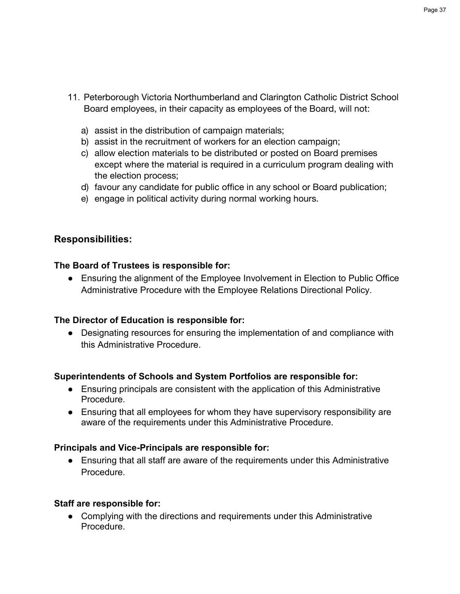- 11. Peterborough Victoria Northumberland and Clarington Catholic District School Board employees, in their capacity as employees of the Board, will not:
	- a) assist in the distribution of campaign materials;
	- b) assist in the recruitment of workers for an election campaign;
	- c) allow election materials to be distributed or posted on Board premises except where the material is required in a curriculum program dealing with the election process;
	- d) favour any candidate for public office in any school or Board publication;
	- e) engage in political activity during normal working hours.

### **Responsibilities:**

### **The Board of Trustees is responsible for:**

● Ensuring the alignment of the Employee Involvement in Election to Public Office Administrative Procedure with the Employee Relations Directional Policy.

### **The Director of Education is responsible for:**

● Designating resources for ensuring the implementation of and compliance with this Administrative Procedure.

### **Superintendents of Schools and System Portfolios are responsible for:**

- Ensuring principals are consistent with the application of this Administrative Procedure.
- Ensuring that all employees for whom they have supervisory responsibility are aware of the requirements under this Administrative Procedure.

### **Principals and Vice-Principals are responsible for:**

● Ensuring that all staff are aware of the requirements under this Administrative Procedure.

### **Staff are responsible for:**

• Complying with the directions and requirements under this Administrative Procedure.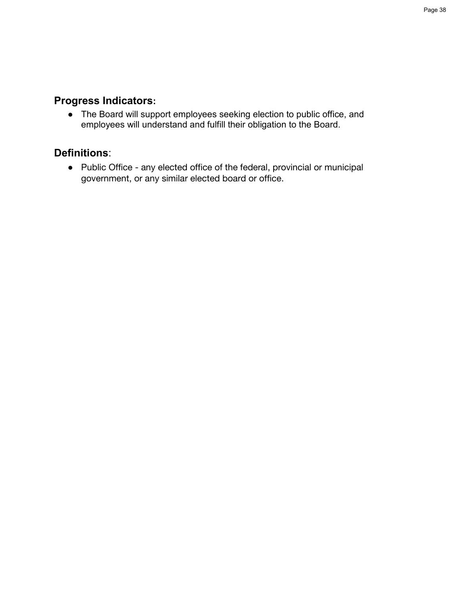# **Progress Indicators:**

● The Board will support employees seeking election to public office, and employees will understand and fulfill their obligation to the Board.

# **Definitions**:

● Public Office - any elected office of the federal, provincial or municipal government, or any similar elected board or office.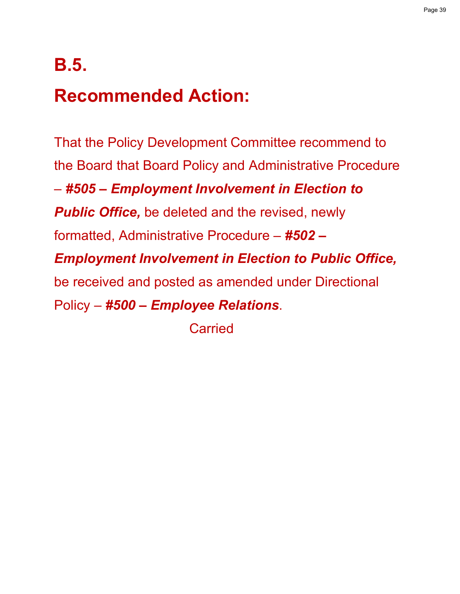# **B.5.**

# **Recommended Action:**

That the Policy Development Committee recommend to the Board that Board Policy and Administrative Procedure – *#505 – Employment Involvement in Election to*  **Public Office,** be deleted and the revised, newly formatted, Administrative Procedure – *#502 – Employment Involvement in Election to Public Office,* be received and posted as amended under Directional Policy – *#500 – Employee Relations*.

**Carried**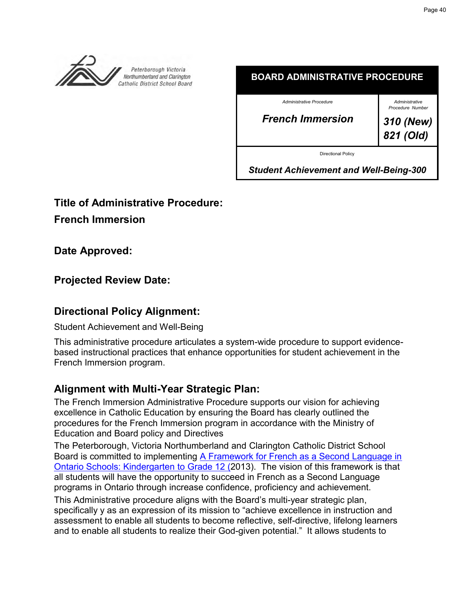<span id="page-39-0"></span>

| .                         |                                    |  |
|---------------------------|------------------------------------|--|
| Administrative Procedure  | Administrative<br>Procedure Number |  |
| <b>French Immersion</b>   | 310 (New)<br>821 (Old)             |  |
| <b>Directional Policy</b> |                                    |  |

**BOARD ADMINISTRATIVE PROCEDURE**

*Student Achievement and Well-Being-300*

**Title of Administrative Procedure:**

**French Immersion**

**Date Approved:**

**Projected Review Date:**

# **Directional Policy Alignment:**

Student Achievement and Well-Being

This administrative procedure articulates a system-wide procedure to support evidencebased instructional practices that enhance opportunities for student achievement in the French Immersion program.

# **Alignment with Multi-Year Strategic Plan:**

The French Immersion Administrative Procedure supports our vision for achieving excellence in Catholic Education by ensuring the Board has clearly outlined the procedures for the French Immersion program in accordance with the Ministry of Education and Board policy and Directives

The Peterborough, Victoria Northumberland and Clarington Catholic District School Board is committed to implementing [A Framework for French as a Second Language in](http://edu.gov.on.ca/eng/amenagement/frameworkFLS.pdf)  [Ontario Schools: Kindergarten](http://edu.gov.on.ca/eng/amenagement/frameworkFLS.pdf) to Grade 12 (2013). The vision of this framework is that all students will have the opportunity to succeed in French as a Second Language programs in Ontario through increase confidence, proficiency and achievement.

This Administrative procedure aligns with the Board's multi-year strategic plan, specifically y as an expression of its mission to "achieve excellence in instruction and assessment to enable all students to become reflective, self-directive, lifelong learners and to enable all students to realize their God-given potential." It allows students to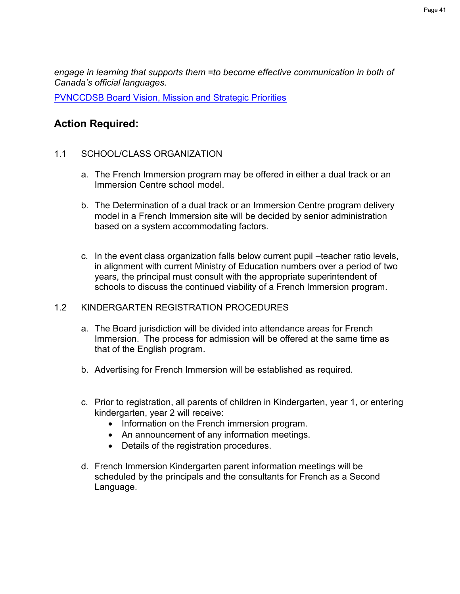*engage in learning that supports them =to become effective communication in both of Canada's official languages.* 

[PVNCCDSB Board Vision, Mission and Strategic Priorities](https://www.pvnccdsb.on.ca/our-board/vision-mission-and-strategic-priorities/)

# **Action Required:**

### 1.1 SCHOOL/CLASS ORGANIZATION

- a. The French Immersion program may be offered in either a dual track or an Immersion Centre school model.
- b. The Determination of a dual track or an Immersion Centre program delivery model in a French Immersion site will be decided by senior administration based on a system accommodating factors.
- c. In the event class organization falls below current pupil –teacher ratio levels, in alignment with current Ministry of Education numbers over a period of two years, the principal must consult with the appropriate superintendent of schools to discuss the continued viability of a French Immersion program.

### 1.2 KINDERGARTEN REGISTRATION PROCEDURES

- a. The Board jurisdiction will be divided into attendance areas for French Immersion. The process for admission will be offered at the same time as that of the English program.
- b. Advertising for French Immersion will be established as required.
- c. Prior to registration, all parents of children in Kindergarten, year 1, or entering kindergarten, year 2 will receive:
	- Information on the French immersion program.
	- An announcement of any information meetings.
	- Details of the registration procedures.
- d. French Immersion Kindergarten parent information meetings will be scheduled by the principals and the consultants for French as a Second Language.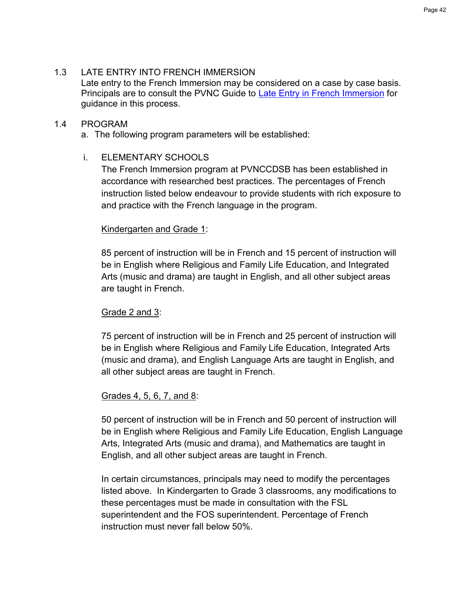### 1.3 LATE ENTRY INTO FRENCH IMMERSION

Late entry to the French Immersion may be considered on a case by case basis. Principals are to consult the PVNC Guide to [Late Entry in French Immersion](https://drive.google.com/file/d/1bXhJL27WIyfp_siEQS5VeDV9XWZLOD3r/view) for guidance in this process.

### 1.4 PROGRAM

a. The following program parameters will be established:

### i. ELEMENTARY SCHOOLS

The French Immersion program at PVNCCDSB has been established in accordance with researched best practices. The percentages of French instruction listed below endeavour to provide students with rich exposure to and practice with the French language in the program.

### Kindergarten and Grade 1:

85 percent of instruction will be in French and 15 percent of instruction will be in English where Religious and Family Life Education, and Integrated Arts (music and drama) are taught in English, and all other subject areas are taught in French.

### Grade 2 and 3:

75 percent of instruction will be in French and 25 percent of instruction will be in English where Religious and Family Life Education, Integrated Arts (music and drama), and English Language Arts are taught in English, and all other subject areas are taught in French.

### Grades 4, 5, 6, 7, and 8:

50 percent of instruction will be in French and 50 percent of instruction will be in English where Religious and Family Life Education, English Language Arts, Integrated Arts (music and drama), and Mathematics are taught in English, and all other subject areas are taught in French.

In certain circumstances, principals may need to modify the percentages listed above. In Kindergarten to Grade 3 classrooms, any modifications to these percentages must be made in consultation with the FSL superintendent and the FOS superintendent. Percentage of French instruction must never fall below 50%.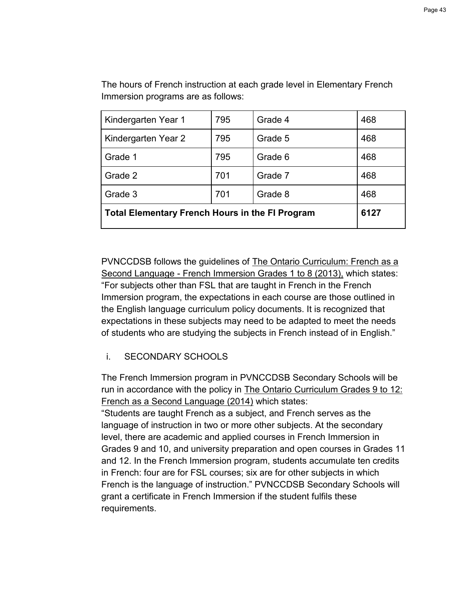| Kindergarten Year 1                                    | 795  | Grade 4 | 468 |
|--------------------------------------------------------|------|---------|-----|
| Kindergarten Year 2                                    | 795  | Grade 5 | 468 |
| Grade 1                                                | 795  | Grade 6 | 468 |
| Grade 2                                                | 701  | Grade 7 | 468 |
| Grade 3                                                | 701  | Grade 8 | 468 |
| <b>Total Elementary French Hours in the FI Program</b> | 6127 |         |     |

The hours of French instruction at each grade level in Elementary French Immersion programs are as follows:

PVNCCDSB follows the guidelines of The Ontario Curriculum: French as a Second Language - French Immersion Grades 1 to 8 (2013), which states: "For subjects other than FSL that are taught in French in the French Immersion program, the expectations in each course are those outlined in the English language curriculum policy documents. It is recognized that expectations in these subjects may need to be adapted to meet the needs of students who are studying the subjects in French instead of in English."

### i. SECONDARY SCHOOLS

The French Immersion program in PVNCCDSB Secondary Schools will be run in accordance with the policy in The Ontario Curriculum Grades 9 to 12: French as a Second Language (2014) which states:

"Students are taught French as a subject, and French serves as the language of instruction in two or more other subjects. At the secondary level, there are academic and applied courses in French Immersion in Grades 9 and 10, and university preparation and open courses in Grades 11 and 12. In the French Immersion program, students accumulate ten credits in French: four are for FSL courses; six are for other subjects in which French is the language of instruction." PVNCCDSB Secondary Schools will grant a certificate in French Immersion if the student fulfils these requirements.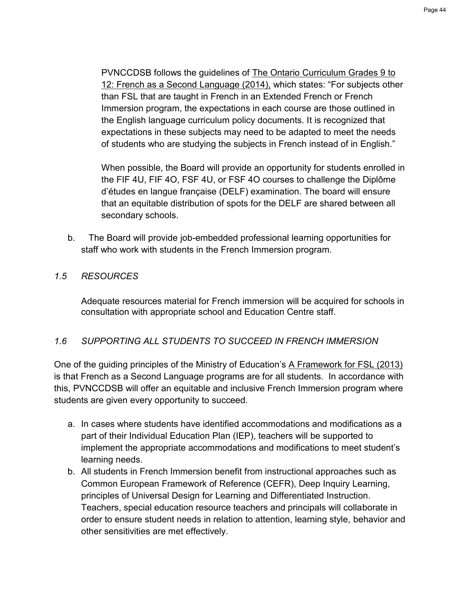Page 44

PVNCCDSB follows the guidelines of The Ontario Curriculum Grades 9 to 12: French as a Second Language (2014), which states: "For subjects other than FSL that are taught in French in an Extended French or French Immersion program, the expectations in each course are those outlined in the English language curriculum policy documents. It is recognized that expectations in these subjects may need to be adapted to meet the needs of students who are studying the subjects in French instead of in English."

When possible, the Board will provide an opportunity for students enrolled in the FIF 4U, FIF 4O, FSF 4U, or FSF 4O courses to challenge the Diplôme d'études en langue française (DELF) examination. The board will ensure that an equitable distribution of spots for the DELF are shared between all secondary schools.

b. The Board will provide job-embedded professional learning opportunities for staff who work with students in the French Immersion program.

### *1.5 RESOURCES*

Adequate resources material for French immersion will be acquired for schools in consultation with appropriate school and Education Centre staff.

### *1.6 SUPPORTING ALL STUDENTS TO SUCCEED IN FRENCH IMMERSION*

One of the guiding principles of the Ministry of Education's A Framework for FSL (2013) is that French as a Second Language programs are for all students. In accordance with this, PVNCCDSB will offer an equitable and inclusive French Immersion program where students are given every opportunity to succeed.

- a. In cases where students have identified accommodations and modifications as a part of their Individual Education Plan (IEP), teachers will be supported to implement the appropriate accommodations and modifications to meet student's learning needs.
- b. All students in French Immersion benefit from instructional approaches such as Common European Framework of Reference (CEFR), Deep Inquiry Learning, principles of Universal Design for Learning and Differentiated Instruction. Teachers, special education resource teachers and principals will collaborate in order to ensure student needs in relation to attention, learning style, behavior and other sensitivities are met effectively.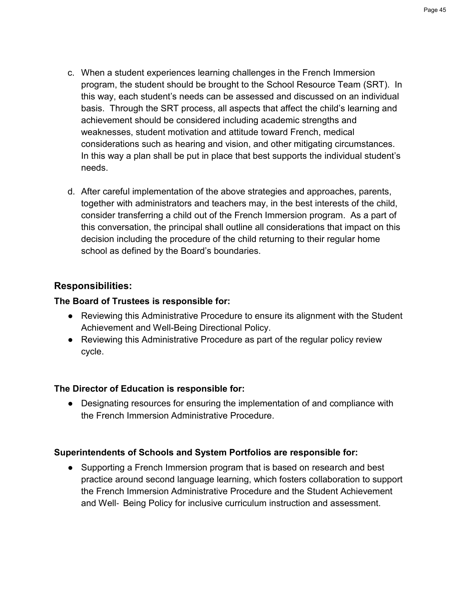- c. When a student experiences learning challenges in the French Immersion program, the student should be brought to the School Resource Team (SRT). In this way, each student's needs can be assessed and discussed on an individual basis. Through the SRT process, all aspects that affect the child's learning and achievement should be considered including academic strengths and weaknesses, student motivation and attitude toward French, medical considerations such as hearing and vision, and other mitigating circumstances. In this way a plan shall be put in place that best supports the individual student's needs.
- d. After careful implementation of the above strategies and approaches, parents, together with administrators and teachers may, in the best interests of the child, consider transferring a child out of the French Immersion program. As a part of this conversation, the principal shall outline all considerations that impact on this decision including the procedure of the child returning to their regular home school as defined by the Board's boundaries.

### **Responsibilities:**

### **The Board of Trustees is responsible for:**

- Reviewing this Administrative Procedure to ensure its alignment with the Student Achievement and Well-Being Directional Policy.
- Reviewing this Administrative Procedure as part of the regular policy review cycle.

### **The Director of Education is responsible for:**

● Designating resources for ensuring the implementation of and compliance with the French Immersion Administrative Procedure.

### **Superintendents of Schools and System Portfolios are responsible for:**

• Supporting a French Immersion program that is based on research and best practice around second language learning, which fosters collaboration to support the French Immersion Administrative Procedure and the Student Achievement and Well‐ Being Policy for inclusive curriculum instruction and assessment.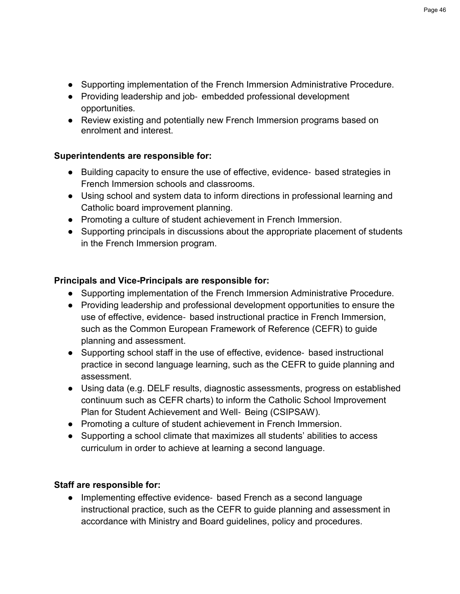- Supporting implementation of the French Immersion Administrative Procedure.
- Providing leadership and job- embedded professional development opportunities.
- Review existing and potentially new French Immersion programs based on enrolment and interest.

### **Superintendents are responsible for:**

- Building capacity to ensure the use of effective, evidence- based strategies in French Immersion schools and classrooms.
- Using school and system data to inform directions in professional learning and Catholic board improvement planning.
- Promoting a culture of student achievement in French Immersion.
- Supporting principals in discussions about the appropriate placement of students in the French Immersion program.

### **Principals and Vice-Principals are responsible for:**

- Supporting implementation of the French Immersion Administrative Procedure.
- Providing leadership and professional development opportunities to ensure the use of effective, evidence‐ based instructional practice in French Immersion, such as the Common European Framework of Reference (CEFR) to guide planning and assessment.
- Supporting school staff in the use of effective, evidence- based instructional practice in second language learning, such as the CEFR to guide planning and assessment.
- Using data (e.g. DELF results, diagnostic assessments, progress on established continuum such as CEFR charts) to inform the Catholic School Improvement Plan for Student Achievement and Well‐ Being (CSIPSAW).
- Promoting a culture of student achievement in French Immersion.
- Supporting a school climate that maximizes all students' abilities to access curriculum in order to achieve at learning a second language.

### **Staff are responsible for:**

● Implementing effective evidence - based French as a second language instructional practice, such as the CEFR to guide planning and assessment in accordance with Ministry and Board guidelines, policy and procedures.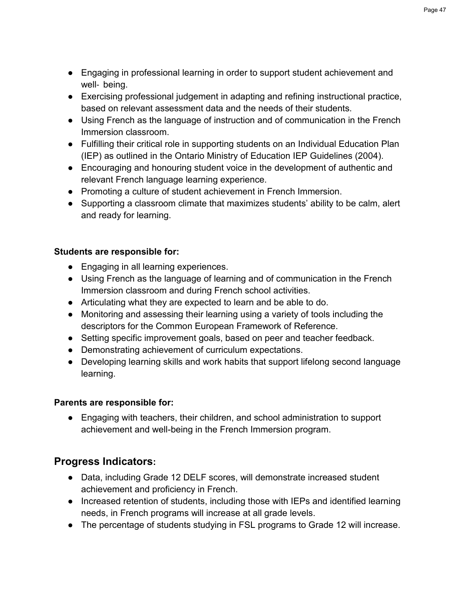- Engaging in professional learning in order to support student achievement and well- being.
- Exercising professional judgement in adapting and refining instructional practice, based on relevant assessment data and the needs of their students.
- Using French as the language of instruction and of communication in the French Immersion classroom.
- Fulfilling their critical role in supporting students on an Individual Education Plan (IEP) as outlined in the Ontario Ministry of Education IEP Guidelines (2004).
- Encouraging and honouring student voice in the development of authentic and relevant French language learning experience.
- Promoting a culture of student achievement in French Immersion.
- Supporting a classroom climate that maximizes students' ability to be calm, alert and ready for learning.

### **Students are responsible for:**

- Engaging in all learning experiences.
- Using French as the language of learning and of communication in the French Immersion classroom and during French school activities.
- Articulating what they are expected to learn and be able to do.
- Monitoring and assessing their learning using a variety of tools including the descriptors for the Common European Framework of Reference.
- Setting specific improvement goals, based on peer and teacher feedback.
- Demonstrating achievement of curriculum expectations.
- Developing learning skills and work habits that support lifelong second language learning.

### **Parents are responsible for:**

● Engaging with teachers, their children, and school administration to support achievement and well-being in the French Immersion program.

# **Progress Indicators:**

- Data, including Grade 12 DELF scores, will demonstrate increased student achievement and proficiency in French.
- Increased retention of students, including those with IEPs and identified learning needs, in French programs will increase at all grade levels.
- The percentage of students studying in FSL programs to Grade 12 will increase.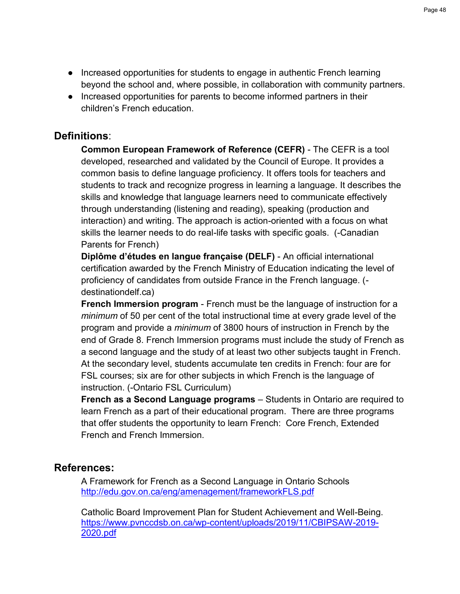- Increased opportunities for students to engage in authentic French learning beyond the school and, where possible, in collaboration with community partners.
- Increased opportunities for parents to become informed partners in their children's French education.

## **Definitions**:

**Common European Framework of Reference (CEFR)** - The CEFR is a tool developed, researched and validated by the Council of Europe. It provides a common basis to define language proficiency. It offers tools for teachers and students to track and recognize progress in learning a language. It describes the skills and knowledge that language learners need to communicate effectively through understanding (listening and reading), speaking (production and interaction) and writing. The approach is action-oriented with a focus on what skills the learner needs to do real-life tasks with specific goals. (-Canadian Parents for French)

**Diplôme d'études en langue française (DELF)** - An official international certification awarded by the French Ministry of Education indicating the level of proficiency of candidates from outside France in the French language. ( destinationdelf.ca)

**French Immersion program** - French must be the language of instruction for a *minimum* of 50 per cent of the total instructional time at every grade level of the program and provide a *minimum* of 3800 hours of instruction in French by the end of Grade 8. French Immersion programs must include the study of French as a second language and the study of at least two other subjects taught in French. At the secondary level, students accumulate ten credits in French: four are for FSL courses; six are for other subjects in which French is the language of instruction. (-Ontario FSL Curriculum)

**French as a Second Language programs** – Students in Ontario are required to learn French as a part of their educational program. There are three programs that offer students the opportunity to learn French: Core French, Extended French and French Immersion.

### **References:**

A Framework for French as a Second Language in Ontario School[s](http://edu.gov.on.ca/eng/amenagement/frameworkFLS.pdf) <http://edu.gov.on.ca/eng/amenagement/frameworkFLS.pdf>

Catholic Board Improvement Plan for Student Achievement and Well-Being. [https://www.pvnccdsb.on.ca/wp-content/uploads/2019/11/CBIPSAW-2019-](https://www.pvnccdsb.on.ca/wp-content/uploads/2019/11/CBIPSAW-2019-2020.pdf) [2020.pdf](https://www.pvnccdsb.on.ca/wp-content/uploads/2019/11/CBIPSAW-2019-2020.pdf)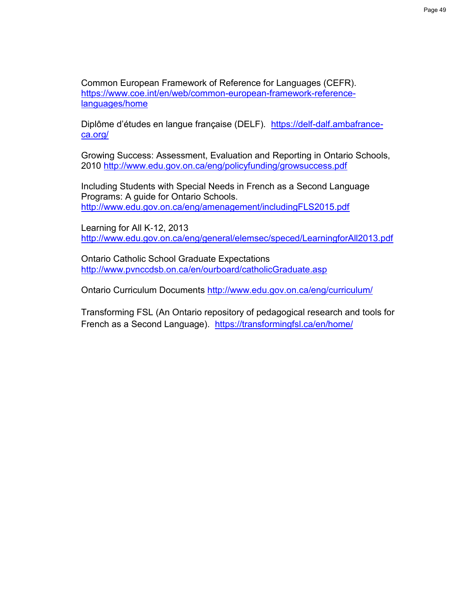Common European Framework of Reference for Languages (CEFR). [https://www.coe.int/en/web/common-european-framework-reference](https://www.coe.int/en/web/common-european-framework-reference-languages/home)[languages/home](https://www.coe.int/en/web/common-european-framework-reference-languages/home)

Diplôme d'études en langue française (DELF). [https://delf-dalf.ambafrance](https://delf-dalf.ambafrance-ca.org/)[ca.org/](https://delf-dalf.ambafrance-ca.org/)

Growing Success: Assessment, Evaluation and Reporting in Ontario Schools, 201[0](http://www.edu.gov.on.ca/eng/policyfunding/growsuccess.pdf) <http://www.edu.gov.on.ca/eng/policyfunding/growsuccess.pdf>

Including Students with Special Needs [in French as a Second Language](http://www.edu.gov.on.ca/eng/amenagement/includingFLS2015.pdf)  Programs: A guide for Ontario Schools. <http://www.edu.gov.on.ca/eng/amenagement/includingFLS2015.pdf>

Learning for All K‐12, 201[3](http://www.edu.gov.on.ca/eng/general/elemsec/speced/LearningforAll2013.pdf) <http://www.edu.gov.on.ca/eng/general/elemsec/speced/LearningforAll2013.pdf>

Ontario Catholic School Graduate Expectation[s](http://www.pvnccdsb.on.ca/en/ourboard/catholicGraduate.asp) <http://www.pvnccdsb.on.ca/en/ourboard/catholicGraduate.asp>

Ontario Curriculum Document[s](http://www.edu.gov.on.ca/eng/curriculum/) <http://www.edu.gov.on.ca/eng/curriculum/>

Transforming FSL (An Ontario repository of pedagogical research and tools for French as a Second Language).<https://transformingfsl.ca/en/home/>